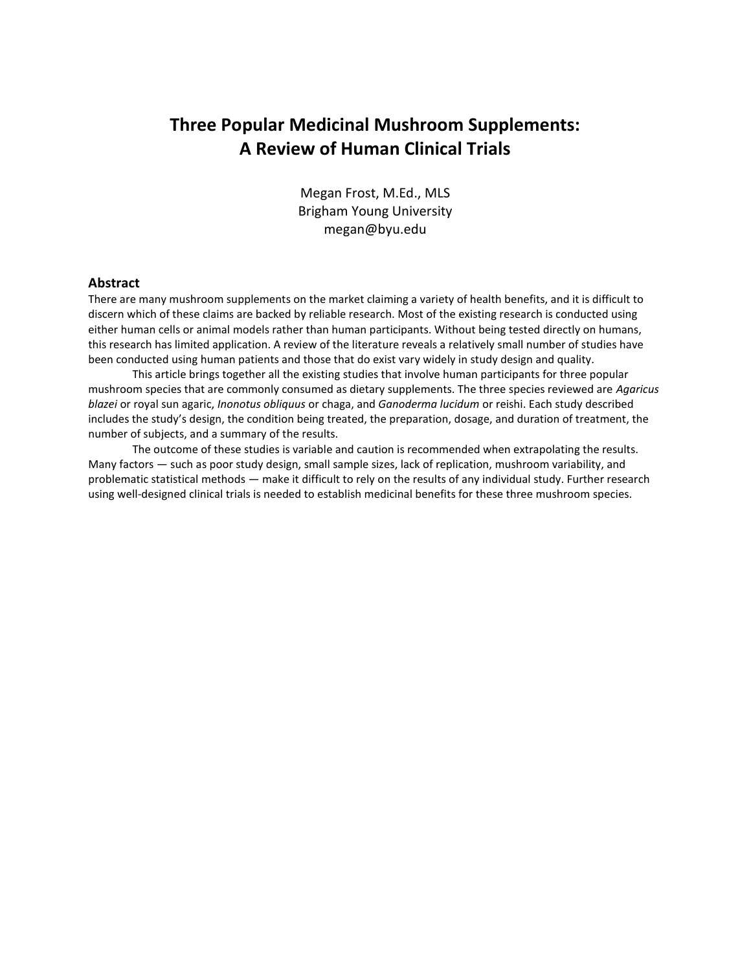# **Three Popular Medicinal Mushroom Supplements: A Review of Human Clinical Trials**

Megan Frost, M.Ed., MLS Brigham Young University megan@byu.edu

# **Abstract**

There are many mushroom supplements on the market claiming a variety of health benefits, and it is difficult to discern which of these claims are backed by reliable research. Most of the existing research is conducted using either human cells or animal models rather than human participants. Without being tested directly on humans, this research has limited application. A review of the literature reveals a relatively small number of studies have been conducted using human patients and those that do exist vary widely in study design and quality.

This article brings together all the existing studies that involve human participants for three popular mushroom species that are commonly consumed as dietary supplements. The three species reviewed are *Agaricus blazei* or royal sun agaric, *Inonotus obliquus* or chaga, and *Ganoderma lucidum* or reishi. Each study described includes the study's design, the condition being treated, the preparation, dosage, and duration of treatment, the number of subjects, and a summary of the results.

The outcome of these studies is variable and caution is recommended when extrapolating the results. Many factors — such as poor study design, small sample sizes, lack of replication, mushroom variability, and problematic statistical methods — make it difficult to rely on the results of any individual study. Further research using well-designed clinical trials is needed to establish medicinal benefits for these three mushroom species.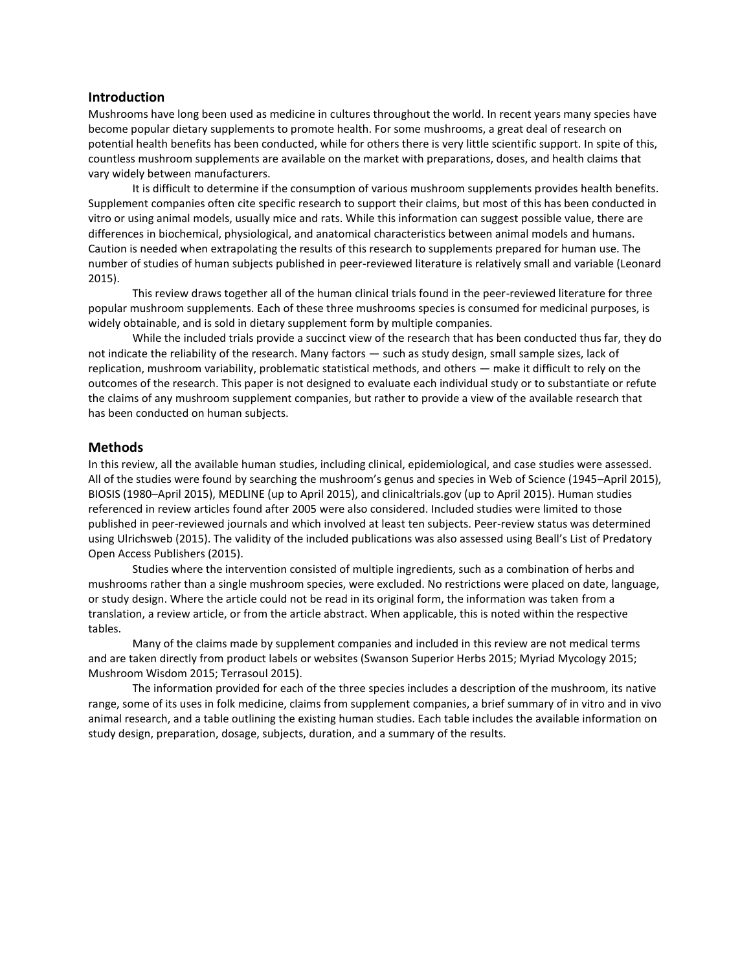### **Introduction**

Mushrooms have long been used as medicine in cultures throughout the world. In recent years many species have become popular dietary supplements to promote health. For some mushrooms, a great deal of research on potential health benefits has been conducted, while for others there is very little scientific support. In spite of this, countless mushroom supplements are available on the market with preparations, doses, and health claims that vary widely between manufacturers.

It is difficult to determine if the consumption of various mushroom supplements provides health benefits. Supplement companies often cite specific research to support their claims, but most of this has been conducted in vitro or using animal models, usually mice and rats. While this information can suggest possible value, there are differences in biochemical, physiological, and anatomical characteristics between animal models and humans. Caution is needed when extrapolating the results of this research to supplements prepared for human use. The number of studies of human subjects published in peer-reviewed literature is relatively small and variable (Leonard 2015).

This review draws together all of the human clinical trials found in the peer-reviewed literature for three popular mushroom supplements. Each of these three mushrooms species is consumed for medicinal purposes, is widely obtainable, and is sold in dietary supplement form by multiple companies.

While the included trials provide a succinct view of the research that has been conducted thus far, they do not indicate the reliability of the research. Many factors — such as study design, small sample sizes, lack of replication, mushroom variability, problematic statistical methods, and others — make it difficult to rely on the outcomes of the research. This paper is not designed to evaluate each individual study or to substantiate or refute the claims of any mushroom supplement companies, but rather to provide a view of the available research that has been conducted on human subjects.

### **Methods**

In this review, all the available human studies, including clinical, epidemiological, and case studies were assessed. All of the studies were found by searching the mushroom's genus and species in Web of Science (1945–April 2015), BIOSIS (1980–April 2015), MEDLINE (up to April 2015), and clinicaltrials.gov (up to April 2015). Human studies referenced in review articles found after 2005 were also considered. Included studies were limited to those published in peer-reviewed journals and which involved at least ten subjects. Peer-review status was determined using Ulrichsweb (2015). The validity of the included publications was also assessed using Beall's List of Predatory Open Access Publishers (2015).

Studies where the intervention consisted of multiple ingredients, such as a combination of herbs and mushrooms rather than a single mushroom species, were excluded. No restrictions were placed on date, language, or study design. Where the article could not be read in its original form, the information was taken from a translation, a review article, or from the article abstract. When applicable, this is noted within the respective tables.

Many of the claims made by supplement companies and included in this review are not medical terms and are taken directly from product labels or websites (Swanson Superior Herbs 2015; Myriad Mycology 2015; Mushroom Wisdom 2015; Terrasoul 2015).

The information provided for each of the three species includes a description of the mushroom, its native range, some of its uses in folk medicine, claims from supplement companies, a brief summary of in vitro and in vivo animal research, and a table outlining the existing human studies. Each table includes the available information on study design, preparation, dosage, subjects, duration, and a summary of the results.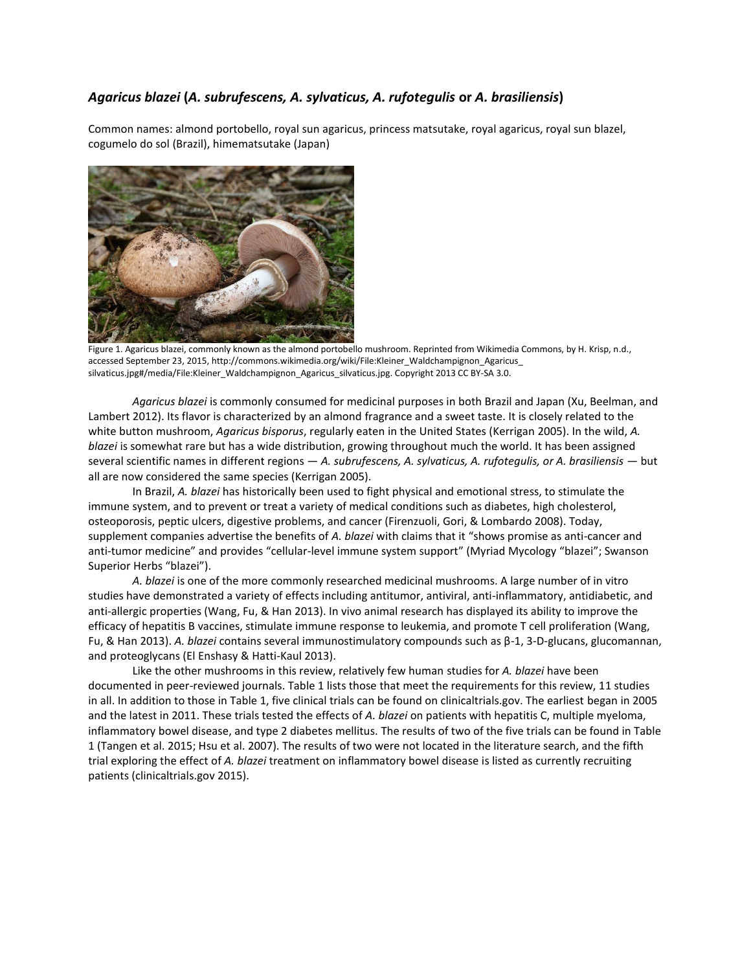# *Agaricus blazei* **(***A. subrufescens, A. sylvaticus, A. rufotegulis* **or** *A. brasiliensis***)**

Common names: almond portobello, royal sun agaricus, princess matsutake, royal agaricus, royal sun blazel, cogumelo do sol (Brazil), himematsutake (Japan)



Figure 1. Agaricus blazei, commonly known as the almond portobello mushroom. Reprinted from Wikimedia Commons, by H. Krisp, n.d., accessed September 23, 2015, http://commons.wikimedia.org/wiki/File:Kleiner\_Waldchampignon\_Agaricus\_ silvaticus.jpg#/media/File:Kleiner\_Waldchampignon\_Agaricus\_silvaticus.jpg. Copyright 2013 CC BY-SA 3.0.

*Agaricus blazei* is commonly consumed for medicinal purposes in both Brazil and Japan (Xu, Beelman, and Lambert 2012). Its flavor is characterized by an almond fragrance and a sweet taste. It is closely related to the white button mushroom, *Agaricus bisporus*, regularly eaten in the United States [\(Kerrigan](http://www.mycologia.org/search?author1=Richard+W.+Kerrigan&sortspec=date&submit=Submit) 2005). In the wild, *A. blazei* is somewhat rare but has a wide distribution, growing throughout much the world. It has been assigned several scientific names in different regions - A. subrufescens, A. sylvaticus, A. rufotegulis, or A. brasiliensis - but all are now considered the same species (Kerrigan 2005).

In Brazil, *A. blazei* has historically been used to fight physical and emotional stress, to stimulate the immune system, and to prevent or treat a variety of medical conditions such as diabetes, high cholesterol, osteoporosis, peptic ulcers, digestive problems, and cancer (Firenzuoli, Gori, & Lombardo 2008). Today, supplement companies advertise the benefits of *A. blazei* with claims that it "shows promise as anti-cancer and anti-tumor medicine" and provides "cellular-level immune system support" (Myriad Mycology "blazei"; Swanson Superior Herbs "blazei").

*A. blazei* is one of the more commonly researched medicinal mushrooms. A large number of in vitro studies have demonstrated a variety of effects including antitumor, antiviral, anti-inflammatory, antidiabetic, and anti-allergic properties (Wang, Fu, & Han 2013). In vivo animal research has displayed its ability to improve the efficacy of hepatitis B vaccines, stimulate immune response to leukemia, and promote T cell proliferation (Wang, Fu, & Han 2013). *A. blazei* contains several immunostimulatory compounds such as β-1, 3-D-glucans, glucomannan, and proteoglycans (El Enshasy & Hatti-Kaul 2013).

Like the other mushrooms in this review, relatively few human studies for *A. blazei* have been documented in peer-reviewed journals. Table 1 lists those that meet the requirements for this review, 11 studies in all. In addition to those in Table 1, five clinical trials can be found on clinicaltrials.gov. The earliest began in 2005 and the latest in 2011. These trials tested the effects of *A. blazei* on patients with hepatitis C, multiple myeloma, inflammatory bowel disease, and type 2 diabetes mellitus. The results of two of the five trials can be found in Table 1 (Tangen et al. 2015; Hsu et al. 2007). The results of two were not located in the literature search, and the fifth trial exploring the effect of *A. blazei* treatment on inflammatory bowel disease is listed as currently recruiting patients (clinicaltrials.gov 2015).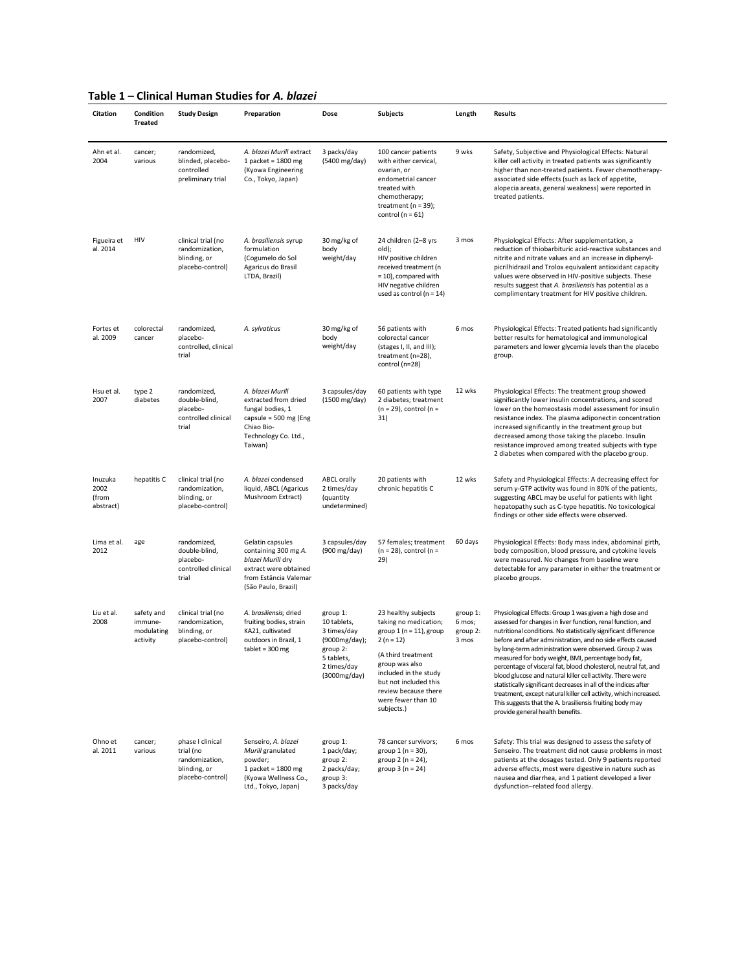| Citation                              | Condition<br><b>Treated</b>                     | <b>Study Design</b>                                                                 | Preparation                                                                                                                            | Dose                                                                                                             | <b>Subjects</b>                                                                                                                                                                                                                                | Length                                  | <b>Results</b>                                                                                                                                                                                                                                                                                                                                                                                                                                                                                                                                                                                                                                                                                                                                     |
|---------------------------------------|-------------------------------------------------|-------------------------------------------------------------------------------------|----------------------------------------------------------------------------------------------------------------------------------------|------------------------------------------------------------------------------------------------------------------|------------------------------------------------------------------------------------------------------------------------------------------------------------------------------------------------------------------------------------------------|-----------------------------------------|----------------------------------------------------------------------------------------------------------------------------------------------------------------------------------------------------------------------------------------------------------------------------------------------------------------------------------------------------------------------------------------------------------------------------------------------------------------------------------------------------------------------------------------------------------------------------------------------------------------------------------------------------------------------------------------------------------------------------------------------------|
| Ahn et al.<br>2004                    | cancer;<br>various                              | randomized,<br>blinded, placebo-<br>controlled<br>preliminary trial                 | A. blazei Murill extract<br>1 packet = $1800$ mg<br>(Kyowa Engineering<br>Co., Tokyo, Japan)                                           | 3 packs/day<br>(5400 mg/day)                                                                                     | 100 cancer patients<br>with either cervical,<br>ovarian, or<br>endometrial cancer<br>treated with<br>chemotherapy;<br>treatment ( $n = 39$ );<br>control ( $n = 61$ )                                                                          | 9 wks                                   | Safety, Subjective and Physiological Effects: Natural<br>killer cell activity in treated patients was significantly<br>higher than non-treated patients. Fewer chemotherapy-<br>associated side effects (such as lack of appetite,<br>alopecia areata, general weakness) were reported in<br>treated patients.                                                                                                                                                                                                                                                                                                                                                                                                                                     |
| Figueira et<br>al. 2014               | HIV                                             | clinical trial (no<br>randomization,<br>blinding, or<br>placebo-control)            | A. brasiliensis syrup<br>formulation<br>(Cogumelo do Sol<br>Agaricus do Brasil<br>LTDA, Brazil)                                        | 30 mg/kg of<br>body<br>weight/day                                                                                | 24 children (2-8 yrs<br>old);<br>HIV positive children<br>received treatment (n<br>$= 10$ ), compared with<br>HIV negative children<br>used as control ( $n = 14$ )                                                                            | 3 mos                                   | Physiological Effects: After supplementation, a<br>reduction of thiobarbituric acid-reactive substances and<br>nitrite and nitrate values and an increase in diphenyl-<br>picrilhidrazil and Trolox equivalent antioxidant capacity<br>values were observed in HIV-positive subjects. These<br>results suggest that A. brasiliensis has potential as a<br>complimentary treatment for HIV positive children.                                                                                                                                                                                                                                                                                                                                       |
| Fortes et<br>al. 2009                 | colorectal<br>cancer                            | randomized,<br>placebo-<br>controlled, clinical<br>trial                            | A. sylvaticus                                                                                                                          | 30 mg/kg of<br>body<br>weight/day                                                                                | 56 patients with<br>colorectal cancer<br>(stages I, II, and III);<br>treatment (n=28),<br>control (n=28)                                                                                                                                       | 6 mos                                   | Physiological Effects: Treated patients had significantly<br>better results for hematological and immunological<br>parameters and lower glycemia levels than the placebo<br>group.                                                                                                                                                                                                                                                                                                                                                                                                                                                                                                                                                                 |
| Hsu et al.<br>2007                    | type 2<br>diabetes                              | randomized,<br>double-blind,<br>placebo-<br>controlled clinical<br>trial            | A. blazei Murill<br>extracted from dried<br>fungal bodies, 1<br>capsule = 500 mg (Eng<br>Chiao Bio-<br>Technology Co. Ltd.,<br>Taiwan) | 3 capsules/day<br>(1500 mg/day)                                                                                  | 60 patients with type<br>2 diabetes; treatment<br>$(n = 29)$ , control $(n =$<br>31)                                                                                                                                                           | 12 wks                                  | Physiological Effects: The treatment group showed<br>significantly lower insulin concentrations, and scored<br>lower on the homeostasis model assessment for insulin<br>resistance index. The plasma adiponectin concentration<br>increased significantly in the treatment group but<br>decreased among those taking the placebo. Insulin<br>resistance improved among treated subjects with type<br>2 diabetes when compared with the placebo group.                                                                                                                                                                                                                                                                                              |
| Inuzuka<br>2002<br>(from<br>abstract) | hepatitis C                                     | clinical trial (no<br>randomization,<br>blinding, or<br>placebo-control)            | A. blazei condensed<br>liquid, ABCL (Agaricus<br>Mushroom Extract)                                                                     | <b>ABCL orally</b><br>2 times/day<br>(quantity<br>undetermined)                                                  | 20 patients with<br>chronic hepatitis C                                                                                                                                                                                                        | 12 wks                                  | Safety and Physiological Effects: A decreasing effect for<br>serum y-GTP activity was found in 80% of the patients,<br>suggesting ABCL may be useful for patients with light<br>hepatopathy such as C-type hepatitis. No toxicological<br>findings or other side effects were observed.                                                                                                                                                                                                                                                                                                                                                                                                                                                            |
| Lima et al.<br>2012                   | age                                             | randomized,<br>double-blind,<br>placebo-<br>controlled clinical<br>trial            | Gelatin capsules<br>containing 300 mg A.<br>blazei Murill dry<br>extract were obtained<br>from Estância Valemar<br>(São Paulo, Brazil) | 3 capsules/day<br>(900 mg/day)                                                                                   | 57 females; treatment<br>$(n = 28)$ , control $(n =$<br>29)                                                                                                                                                                                    | 60 days                                 | Physiological Effects: Body mass index, abdominal girth,<br>body composition, blood pressure, and cytokine levels<br>were measured. No changes from baseline were<br>detectable for any parameter in either the treatment or<br>placebo groups.                                                                                                                                                                                                                                                                                                                                                                                                                                                                                                    |
| Liu et al.<br>2008                    | safety and<br>immune-<br>modulating<br>activity | clinical trial (no<br>randomization,<br>blinding, or<br>placebo-control)            | A. brasiliensis; dried<br>fruiting bodies, strain<br>KA21, cultivated<br>outdoors in Brazil, 1<br>tablet = 300 mg                      | group 1:<br>10 tablets,<br>3 times/day<br>(9000mg/day);<br>group 2:<br>5 tablets,<br>2 times/day<br>(3000mg/day) | 23 healthy subjects<br>taking no medication;<br>group $1(n = 11)$ , group<br>$2(n = 12)$<br>(A third treatment<br>group was also<br>included in the study<br>but not included this<br>review because there<br>were fewer than 10<br>subjects.) | group 1:<br>6 mos;<br>group 2:<br>3 mos | Physiological Effects: Group 1 was given a high dose and<br>assessed for changes in liver function, renal function, and<br>nutritional conditions. No statistically significant difference<br>before and after administration, and no side effects caused<br>by long-term administration were observed. Group 2 was<br>measured for body weight, BMI, percentage body fat,<br>percentage of visceral fat, blood cholesterol, neutral fat, and<br>blood glucose and natural killer cell activity. There were<br>statistically significant decreases in all of the indices after<br>treatment, except natural killer cell activity, which increased.<br>This suggests that the A. brasiliensis fruiting body may<br>provide general health benefits. |
| Ohno et<br>al. 2011                   | cancer;<br>various                              | phase I clinical<br>trial (no<br>randomization,<br>blinding, or<br>placebo-control) | Senseiro, A. blazei<br>Murill granulated<br>powder;<br>1 packet = $1800$ mg<br>(Kyowa Wellness Co.,<br>Ltd., Tokyo, Japan)             | group 1:<br>1 pack/day;<br>group 2:<br>2 packs/day;<br>group 3:<br>3 packs/day                                   | 78 cancer survivors;<br>group 1 (n = 30),<br>group $2 (n = 24)$ ,<br>group $3(n = 24)$                                                                                                                                                         | 6 mos                                   | Safety: This trial was designed to assess the safety of<br>Senseiro. The treatment did not cause problems in most<br>patients at the dosages tested. Only 9 patients reported<br>adverse effects, most were digestive in nature such as<br>nausea and diarrhea, and 1 patient developed a liver<br>dysfunction-related food allergy.                                                                                                                                                                                                                                                                                                                                                                                                               |

### **Table 1 – Clinical Human Studies for** *A. blazei*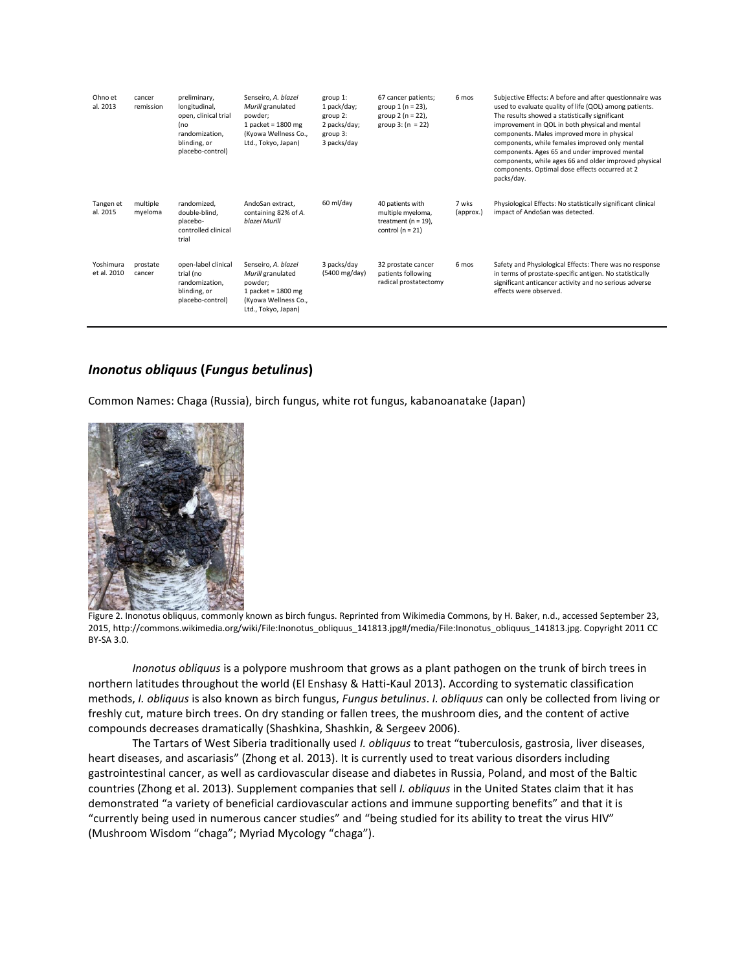| Ohno et<br>al. 2013      | cancer<br>remission | preliminary,<br>longitudinal,<br>open, clinical trial<br>(no<br>randomization.<br>blinding, or<br>placebo-control) | Senseiro, A. blazei<br>Murill granulated<br>powder:<br>1 packet = $1800$ mg<br>(Kyowa Wellness Co.,<br>Ltd., Tokyo, Japan) | group 1:<br>1 pack/day;<br>group 2:<br>2 packs/day;<br>group 3:<br>3 packs/day | 67 cancer patients;<br>group $1(n = 23)$ ,<br>group $2 (n = 22)$ ,<br>group $3: (n = 22)$ | 6 mos              | Subjective Effects: A before and after questionnaire was<br>used to evaluate quality of life (QOL) among patients.<br>The results showed a statistically significant<br>improvement in QOL in both physical and mental<br>components. Males improved more in physical<br>components, while females improved only mental<br>components. Ages 65 and under improved mental<br>components, while ages 66 and older improved physical<br>components. Optimal dose effects occurred at 2<br>packs/day. |
|--------------------------|---------------------|--------------------------------------------------------------------------------------------------------------------|----------------------------------------------------------------------------------------------------------------------------|--------------------------------------------------------------------------------|-------------------------------------------------------------------------------------------|--------------------|---------------------------------------------------------------------------------------------------------------------------------------------------------------------------------------------------------------------------------------------------------------------------------------------------------------------------------------------------------------------------------------------------------------------------------------------------------------------------------------------------|
| Tangen et<br>al. 2015    | multiple<br>mveloma | randomized.<br>double-blind,<br>placebo-<br>controlled clinical<br>trial                                           | AndoSan extract.<br>containing 82% of A.<br>blazei Murill                                                                  | 60 ml/day                                                                      | 40 patients with<br>multiple myeloma,<br>treatment ( $n = 19$ ),<br>control ( $n = 21$ )  | 7 wks<br>(approx.) | Physiological Effects: No statistically significant clinical<br>impact of AndoSan was detected.                                                                                                                                                                                                                                                                                                                                                                                                   |
| Yoshimura<br>et al. 2010 | prostate<br>cancer  | open-label clinical<br>trial (no<br>randomization.<br>blinding, or<br>placebo-control)                             | Senseiro, A. blazei<br>Murill granulated<br>powder;<br>1 packet = $1800$ mg<br>(Kyowa Wellness Co.,<br>Ltd., Tokyo, Japan) | 3 packs/day<br>$(5400 \text{ mg/day})$                                         | 32 prostate cancer<br>patients following<br>radical prostatectomy                         | 6 mos              | Safety and Physiological Effects: There was no response<br>in terms of prostate-specific antigen. No statistically<br>significant anticancer activity and no serious adverse<br>effects were observed.                                                                                                                                                                                                                                                                                            |

# *Inonotus obliquus* **(***Fungus betulinus***)**

Common Names: Chaga (Russia), birch fungus, white rot fungus, kabanoanatake (Japan)



Figure 2. Inonotus obliquus, commonly known as birch fungus. Reprinted from Wikimedia Commons, by H. Baker, n.d., accessed September 23, 2015, http://commons.wikimedia.org/wiki/File:Inonotus\_obliquus\_141813.jpg#/media/File:Inonotus\_obliquus\_141813.jpg. Copyright 2011 CC BY-SA 3.0.

*Inonotus obliquus* is a polypore mushroom that grows as a plant pathogen on the trunk of birch trees in northern latitudes throughout the world (El Enshasy & Hatti-Kaul 2013). According to systematic classification methods, *I. obliquus* is also known as birch fungus, *Fungus betulinus*. *I. obliquus* can only be collected from living or freshly cut, mature birch trees. On dry standing or fallen trees, the mushroom dies, and the content of active compounds decreases dramatically (Shashkina, Shashkin, & Sergeev 2006).

The Tartars of West Siberia traditionally used *I. obliquus* to treat "tuberculosis, gastrosia, liver diseases, heart diseases, and ascariasis" (Zhong et al. 2013). It is currently used to treat various disorders including gastrointestinal cancer, as well as cardiovascular disease and diabetes in Russia, Poland, and most of the Baltic countries (Zhong et al. 2013). Supplement companies that sell *I. obliquus* in the United States claim that it has demonstrated "a variety of beneficial cardiovascular actions and immune supporting benefits" and that it is "currently being used in numerous cancer studies" and "being studied for its ability to treat the virus HIV" (Mushroom Wisdom "chaga"; Myriad Mycology "chaga").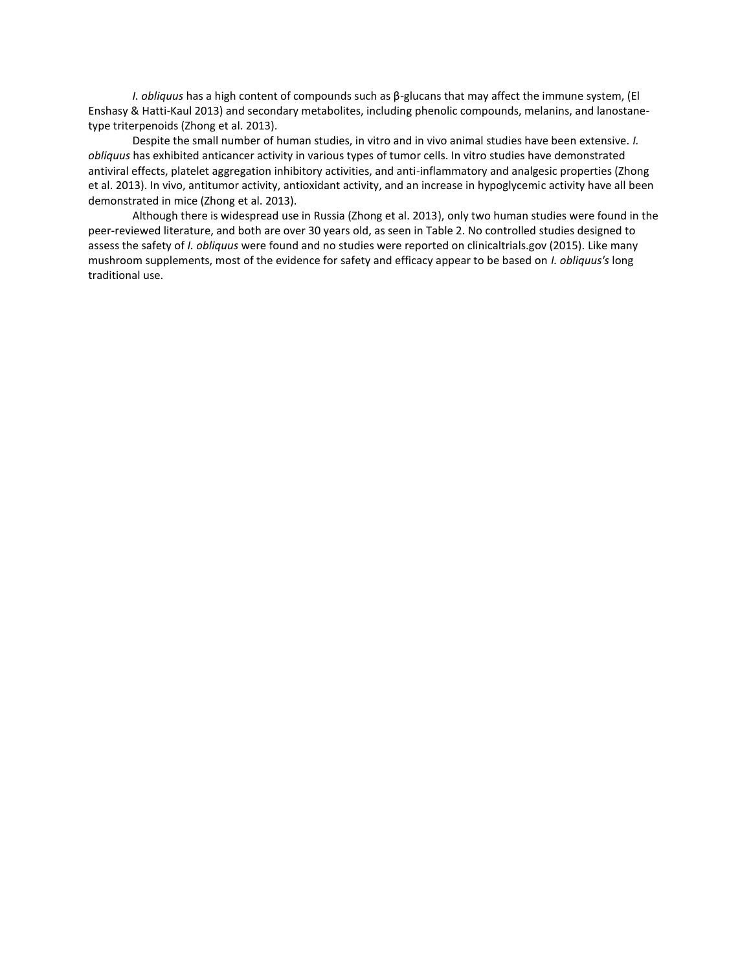*I. obliquus* has a high content of compounds such as β-glucans that may affect the immune system, (El Enshasy & Hatti-Kaul 2013) and secondary metabolites, including phenolic compounds, melanins, and lanostanetype triterpenoids (Zhong et al. 2013).

Despite the small number of human studies, in vitro and in vivo animal studies have been extensive. *I. obliquus* has exhibited anticancer activity in various types of tumor cells. In vitro studies have demonstrated antiviral effects, platelet aggregation inhibitory activities, and anti-inflammatory and analgesic properties (Zhong et al. 2013). In vivo, antitumor activity, antioxidant activity, and an increase in hypoglycemic activity have all been demonstrated in mice (Zhong et al. 2013).

Although there is widespread use in Russia (Zhong et al. 2013), only two human studies were found in the peer-reviewed literature, and both are over 30 years old, as seen in Table 2. No controlled studies designed to assess the safety of *I. obliquus* were found and no studies were reported on clinicaltrials.gov (2015). Like many mushroom supplements, most of the evidence for safety and efficacy appear to be based on *I. obliquus's* long traditional use.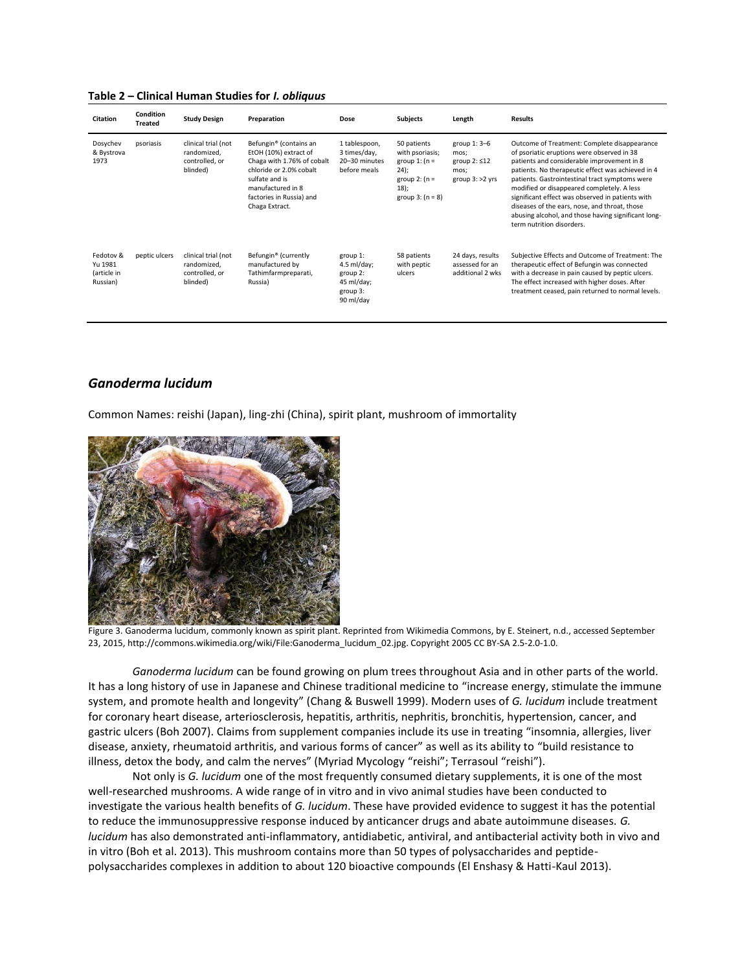#### **Table 2 – Clinical Human Studies for** *I. obliquus*

| <b>Citation</b>                                 | <b>Condition</b><br><b>Treated</b> | <b>Study Design</b>                                              | Preparation                                                                                                                                                                                               | Dose                                                                         | <b>Subjects</b>                                                                                              | Length                                                                   | <b>Results</b>                                                                                                                                                                                                                                                                                                                                                                                                                                                                         |
|-------------------------------------------------|------------------------------------|------------------------------------------------------------------|-----------------------------------------------------------------------------------------------------------------------------------------------------------------------------------------------------------|------------------------------------------------------------------------------|--------------------------------------------------------------------------------------------------------------|--------------------------------------------------------------------------|----------------------------------------------------------------------------------------------------------------------------------------------------------------------------------------------------------------------------------------------------------------------------------------------------------------------------------------------------------------------------------------------------------------------------------------------------------------------------------------|
| Dosychev<br>& Bystrova<br>1973                  | psoriasis                          | clinical trial (not<br>randomized.<br>controlled, or<br>blinded) | Befungin <sup>®</sup> (contains an<br>EtOH (10%) extract of<br>Chaga with 1.76% of cobalt<br>chloride or 2.0% cobalt<br>sulfate and is<br>manufactured in 8<br>factories in Russia) and<br>Chaga Extract. | 1 tablespoon,<br>3 times/day,<br>20-30 minutes<br>before meals               | 50 patients<br>with psoriasis;<br>group 1: $(n =$<br>24);<br>group $2: (n =$<br>$18$ :<br>group $3: (n = 8)$ | group $1:3-6$<br>mos;<br>group $2: \leq 12$<br>mos:<br>group $3:$ >2 yrs | Outcome of Treatment: Complete disappearance<br>of psoriatic eruptions were observed in 38<br>patients and considerable improvement in 8<br>patients. No therapeutic effect was achieved in 4<br>patients. Gastrointestinal tract symptoms were<br>modified or disappeared completely. A less<br>significant effect was observed in patients with<br>diseases of the ears, nose, and throat, those<br>abusing alcohol, and those having significant long-<br>term nutrition disorders. |
| Fedotov &<br>Yu 1981<br>(article in<br>Russian) | peptic ulcers                      | clinical trial (not<br>randomized,<br>controlled, or<br>blinded) | Befungin <sup>®</sup> (currently<br>manufactured by<br>Tathimfarmpreparati,<br>Russia)                                                                                                                    | group 1:<br>$4.5$ ml/day;<br>group 2:<br>45 ml/day;<br>group 3:<br>90 ml/day | 58 patients<br>with peptic<br>ulcers                                                                         | 24 days, results<br>assessed for an<br>additional 2 wks                  | Subjective Effects and Outcome of Treatment: The<br>therapeutic effect of Befungin was connected<br>with a decrease in pain caused by peptic ulcers.<br>The effect increased with higher doses. After<br>treatment ceased, pain returned to normal levels.                                                                                                                                                                                                                             |

# *Ganoderma lucidum*

Common Names: reishi (Japan), ling-zhi (China), spirit plant, mushroom of immortality



Figure 3. Ganoderma lucidum, commonly known as spirit plant. Reprinted from Wikimedia Commons, by E. Steinert, n.d., accessed September 23, 2015, http://commons.wikimedia.org/wiki/File:Ganoderma\_lucidum\_02.jpg. Copyright 2005 CC BY-SA 2.5-2.0-1.0.

*Ganoderma lucidum* can be found growing on plum trees throughout Asia and in other parts of the world. It has a long history of use in Japanese and Chinese traditional medicine to "increase energy, stimulate the immune system, and promote health and longevity" ([Chang & Buswell 1999\)](http://onlinelibrary.wiley.com/enhanced/doi/10.1002/14651858.CD007731.pub2#CD007731-bbs2-0042). Modern uses of *G. lucidum* include treatment for coronary heart disease, arteriosclerosis, hepatitis, arthritis, nephritis, bronchitis, hypertension, cancer, and gastric ulcers [\(Boh 2007\)](http://onlinelibrary.wiley.com/enhanced/doi/10.1002/14651858.CD007731.pub2#CD007731-bbs2-0037). Claims from supplement companies include its use in treating "insomnia, allergies, liver disease, anxiety, rheumatoid arthritis, and various forms of cancer" as well as its ability to "build resistance to illness, detox the body, and calm the nerves" (Myriad Mycology "reishi"; Terrasoul "reishi").

Not only is *G. lucidum* one of the most frequently consumed dietary supplements, it is one of the most well-researched mushrooms. A wide range of in vitro and in vivo animal studies have been conducted to investigate the various health benefits of *G. lucidum*. These have provided evidence to suggest it has the potential to reduce the immunosuppressive response induced by anticancer drugs and abate autoimmune diseases. *G. lucidum* has also demonstrated anti-inflammatory, antidiabetic, antiviral, and antibacterial activity both in vivo and in vitro (Boh et al. 2013). This mushroom contains more than 50 types of polysaccharides and peptidepolysaccharides complexes in addition to about 120 bioactive compounds (El Enshasy & Hatti-Kaul 2013).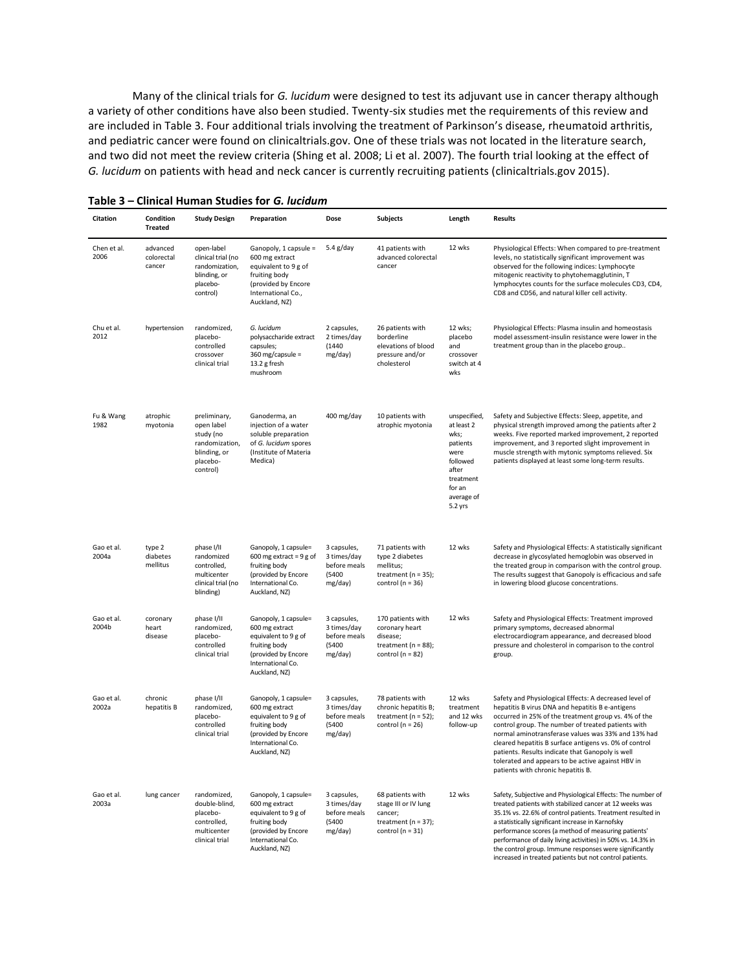Many of the clinical trials for *G. lucidum* were designed to test its adjuvant use in cancer therapy although a variety of other conditions have also been studied. Twenty-six studies met the requirements of this review and are included in Table 3. Four additional trials involving the treatment of Parkinson's disease, rheumatoid arthritis, and pediatric cancer were found on clinicaltrials.gov. One of these trials was not located in the literature search, and two did not meet the review criteria (Shing et al. 2008; Li et al. 2007). The fourth trial looking at the effect of *G. lucidum* on patients with head and neck cancer is currently recruiting patients (clinicaltrials.gov 2015).

| Citation            | Condition<br><b>Treated</b>      | <b>Study Design</b>                                                                               | Preparation                                                                                                                                    | Dose                                                            | <b>Subjects</b>                                                                                        | Length                                                                                                                      | <b>Results</b>                                                                                                                                                                                                                                                                                                                                                                                                                                                                          |
|---------------------|----------------------------------|---------------------------------------------------------------------------------------------------|------------------------------------------------------------------------------------------------------------------------------------------------|-----------------------------------------------------------------|--------------------------------------------------------------------------------------------------------|-----------------------------------------------------------------------------------------------------------------------------|-----------------------------------------------------------------------------------------------------------------------------------------------------------------------------------------------------------------------------------------------------------------------------------------------------------------------------------------------------------------------------------------------------------------------------------------------------------------------------------------|
| Chen et al.<br>2006 | advanced<br>colorectal<br>cancer | open-label<br>clinical trial (no<br>randomization,<br>blinding, or<br>placebo-<br>control)        | Ganopoly, 1 capsule =<br>600 mg extract<br>equivalent to 9 g of<br>fruiting body<br>(provided by Encore<br>International Co.,<br>Auckland, NZ) | $5.4$ g/day                                                     | 41 patients with<br>advanced colorectal<br>cancer                                                      | 12 wks                                                                                                                      | Physiological Effects: When compared to pre-treatment<br>levels, no statistically significant improvement was<br>observed for the following indices: Lymphocyte<br>mitogenic reactivity to phytohemagglutinin, T<br>lymphocytes counts for the surface molecules CD3, CD4,<br>CD8 and CD56, and natural killer cell activity.                                                                                                                                                           |
| Chu et al.<br>2012  | hypertension                     | randomized,<br>placebo-<br>controlled<br>crossover<br>clinical trial                              | G. lucidum<br>polysaccharide extract<br>capsules;<br>360 mg/capsule =<br>13.2 g fresh<br>mushroom                                              | 2 capsules,<br>2 times/day<br>(1440)<br>mg/day)                 | 26 patients with<br>borderline<br>elevations of blood<br>pressure and/or<br>cholesterol                | 12 wks;<br>placebo<br>and<br>crossover<br>switch at 4<br>wks                                                                | Physiological Effects: Plasma insulin and homeostasis<br>model assessment-insulin resistance were lower in the<br>treatment group than in the placebo group                                                                                                                                                                                                                                                                                                                             |
| Fu & Wang<br>1982   | atrophic<br>myotonia             | preliminary,<br>open label<br>study (no<br>randomization,<br>blinding, or<br>placebo-<br>control) | Ganoderma, an<br>injection of a water<br>soluble preparation<br>of G. lucidum spores<br>(Institute of Materia<br>Medica)                       | 400 mg/day                                                      | 10 patients with<br>atrophic myotonia                                                                  | unspecified,<br>at least 2<br>wks;<br>patients<br>were<br>followed<br>after<br>treatment<br>for an<br>average of<br>5.2 yrs | Safety and Subjective Effects: Sleep, appetite, and<br>physical strength improved among the patients after 2<br>weeks. Five reported marked improvement, 2 reported<br>improvement, and 3 reported slight improvement in<br>muscle strength with mytonic symptoms relieved. Six<br>patients displayed at least some long-term results.                                                                                                                                                  |
| Gao et al.<br>2004a | type 2<br>diabetes<br>mellitus   | phase I/II<br>randomized<br>controlled,<br>multicenter<br>clinical trial (no<br>blinding)         | Ganopoly, 1 capsule=<br>600 mg extract = $9 g$ of<br>fruiting body<br>(provided by Encore<br>International Co.<br>Auckland, NZ)                | 3 capsules,<br>3 times/day<br>before meals<br>(5400)<br>mg/day) | 71 patients with<br>type 2 diabetes<br>mellitus;<br>treatment ( $n = 35$ );<br>control ( $n = 36$ )    | 12 wks                                                                                                                      | Safety and Physiological Effects: A statistically significant<br>decrease in glycosylated hemoglobin was observed in<br>the treated group in comparison with the control group.<br>The results suggest that Ganopoly is efficacious and safe<br>in lowering blood glucose concentrations.                                                                                                                                                                                               |
| Gao et al.<br>2004b | coronary<br>heart<br>disease     | phase I/II<br>randomized,<br>placebo-<br>controlled<br>clinical trial                             | Ganopoly, 1 capsule=<br>600 mg extract<br>equivalent to 9 g of<br>fruiting body<br>(provided by Encore<br>International Co.<br>Auckland, NZ)   | 3 capsules,<br>3 times/day<br>before meals<br>(5400)<br>mg/day) | 170 patients with<br>coronary heart<br>disease;<br>treatment ( $n = 88$ );<br>control ( $n = 82$ )     | 12 wks                                                                                                                      | Safety and Physiological Effects: Treatment improved<br>primary symptoms, decreased abnormal<br>electrocardiogram appearance, and decreased blood<br>pressure and cholesterol in comparison to the control<br>group.                                                                                                                                                                                                                                                                    |
| Gao et al.<br>2002a | chronic<br>hepatitis B           | phase I/II<br>randomized,<br>placebo-<br>controlled<br>clinical trial                             | Ganopoly, 1 capsule=<br>600 mg extract<br>equivalent to 9 g of<br>fruiting body<br>(provided by Encore<br>International Co.<br>Auckland, NZ)   | 3 capsules,<br>3 times/day<br>before meals<br>(5400)<br>mg/day) | 78 patients with<br>chronic hepatitis B;<br>treatment ( $n = 52$ );<br>control ( $n = 26$ )            | 12 wks<br>treatment<br>and 12 wks<br>follow-up                                                                              | Safety and Physiological Effects: A decreased level of<br>hepatitis B virus DNA and hepatitis B e-antigens<br>occurred in 25% of the treatment group vs. 4% of the<br>control group. The number of treated patients with<br>normal aminotransferase values was 33% and 13% had<br>cleared hepatitis B surface antigens vs. 0% of control<br>patients. Results indicate that Ganopoly is well<br>tolerated and appears to be active against HBV in<br>patients with chronic hepatitis B. |
| Gao et al.<br>2003a | lung cancer                      | randomized,<br>double-blind,<br>placebo-<br>controlled,<br>multicenter<br>clinical trial          | Ganopoly, 1 capsule=<br>600 mg extract<br>equivalent to 9 g of<br>fruiting body<br>(provided by Encore<br>International Co.<br>Auckland, NZ)   | 3 capsules,<br>3 times/day<br>before meals<br>(5400)<br>mg/day) | 68 patients with<br>stage III or IV lung<br>cancer;<br>treatment ( $n = 37$ );<br>control ( $n = 31$ ) | 12 wks                                                                                                                      | Safety, Subjective and Physiological Effects: The number of<br>treated patients with stabilized cancer at 12 weeks was<br>35.1% vs. 22.6% of control patients. Treatment resulted in<br>a statistically significant increase in Karnofsky<br>performance scores (a method of measuring patients'<br>performance of daily living activities) in 50% vs. 14.3% in<br>the control group. Immune responses were significantly<br>increased in treated patients but not control patients.    |

### **Table 3 – Clinical Human Studies for** *G. lucidum*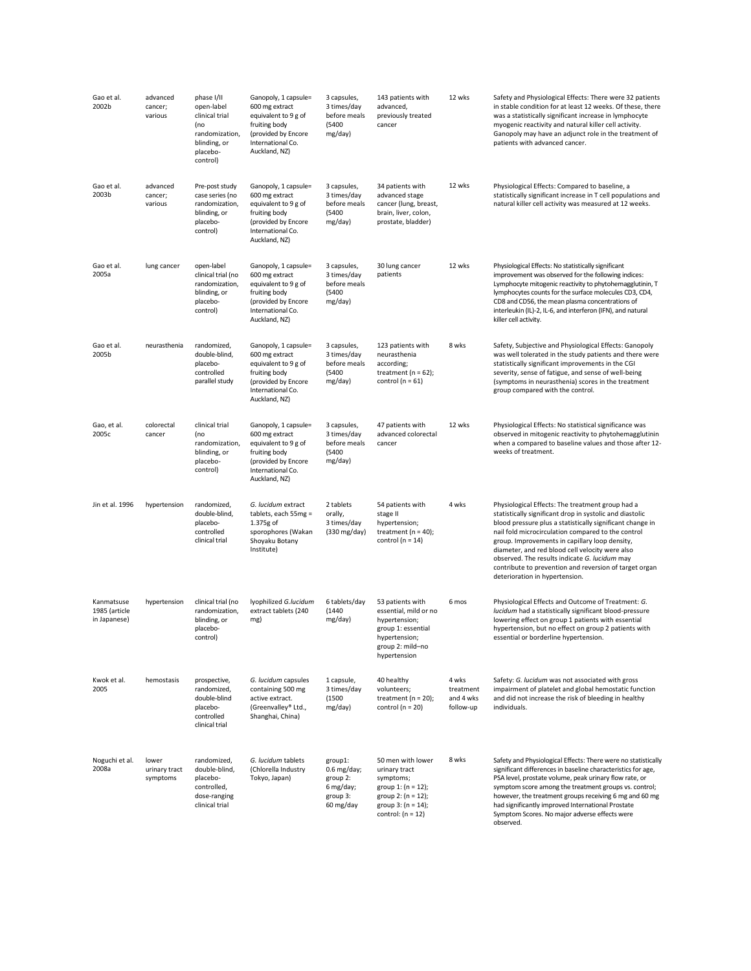| Gao et al.<br>2002b                         | advanced<br>cancer;<br>various     | phase I/II<br>open-label<br>clinical trial<br>(no<br>randomization,<br>blinding, or<br>placebo-<br>control) | Ganopoly, 1 capsule=<br>600 mg extract<br>equivalent to 9 g of<br>fruiting body<br>(provided by Encore<br>International Co.<br>Auckland, NZ) | 3 capsules,<br>3 times/day<br>before meals<br>(5400)<br>mg/day)            | 143 patients with<br>advanced,<br>previously treated<br>cancer                                                                                   | 12 wks                                       | Safety and Physiological Effects: There were 32 patients<br>in stable condition for at least 12 weeks. Of these, there<br>was a statistically significant increase in lymphocyte<br>myogenic reactivity and natural killer cell activity.<br>Ganopoly may have an adjunct role in the treatment of<br>patients with advanced cancer.                                                                                                                                              |
|---------------------------------------------|------------------------------------|-------------------------------------------------------------------------------------------------------------|----------------------------------------------------------------------------------------------------------------------------------------------|----------------------------------------------------------------------------|--------------------------------------------------------------------------------------------------------------------------------------------------|----------------------------------------------|-----------------------------------------------------------------------------------------------------------------------------------------------------------------------------------------------------------------------------------------------------------------------------------------------------------------------------------------------------------------------------------------------------------------------------------------------------------------------------------|
| Gao et al.<br>2003b                         | advanced<br>cancer;<br>various     | Pre-post study<br>case series (no<br>randomization,<br>blinding, or<br>placebo-<br>control)                 | Ganopoly, 1 capsule=<br>600 mg extract<br>equivalent to 9 g of<br>fruiting body<br>(provided by Encore<br>International Co.<br>Auckland, NZ) | 3 capsules,<br>3 times/day<br>before meals<br>(5400)<br>mg/day)            | 34 patients with<br>advanced stage<br>cancer (lung, breast,<br>brain, liver, colon,<br>prostate, bladder)                                        | 12 wks                                       | Physiological Effects: Compared to baseline, a<br>statistically significant increase in T cell populations and<br>natural killer cell activity was measured at 12 weeks.                                                                                                                                                                                                                                                                                                          |
| Gao et al.<br>2005a                         | lung cancer                        | open-label<br>clinical trial (no<br>randomization,<br>blinding, or<br>placebo-<br>control)                  | Ganopoly, 1 capsule=<br>600 mg extract<br>equivalent to 9 g of<br>fruiting body<br>(provided by Encore<br>International Co.<br>Auckland, NZ) | 3 capsules,<br>3 times/day<br>before meals<br>(5400)<br>mg/day)            | 30 lung cancer<br>patients                                                                                                                       | 12 wks                                       | Physiological Effects: No statistically significant<br>improvement was observed for the following indices:<br>Lymphocyte mitogenic reactivity to phytohemagglutinin, T<br>lymphocytes counts for the surface molecules CD3, CD4,<br>CD8 and CD56, the mean plasma concentrations of<br>interleukin (IL)-2, IL-6, and interferon (IFN), and natural<br>killer cell activity.                                                                                                       |
| Gao et al.<br>2005b                         | neurasthenia                       | randomized,<br>double-blind,<br>placebo-<br>controlled<br>parallel study                                    | Ganopoly, 1 capsule=<br>600 mg extract<br>equivalent to 9 g of<br>fruiting body<br>(provided by Encore<br>International Co.<br>Auckland, NZ) | 3 capsules,<br>3 times/day<br>before meals<br>(5400)<br>mg/day)            | 123 patients with<br>neurasthenia<br>according;<br>treatment ( $n = 62$ );<br>control ( $n = 61$ )                                               | 8 wks                                        | Safety, Subjective and Physiological Effects: Ganopoly<br>was well tolerated in the study patients and there were<br>statistically significant improvements in the CGI<br>severity, sense of fatigue, and sense of well-being<br>(symptoms in neurasthenia) scores in the treatment<br>group compared with the control.                                                                                                                                                           |
| Gao, et al.<br>2005c                        | colorectal<br>cancer               | clinical trial<br>(no<br>randomization,<br>blinding, or<br>placebo-<br>control)                             | Ganopoly, 1 capsule=<br>600 mg extract<br>equivalent to 9 g of<br>fruiting body<br>(provided by Encore<br>International Co.<br>Auckland, NZ) | 3 capsules,<br>3 times/day<br>before meals<br>(5400)<br>mg/day)            | 47 patients with<br>advanced colorectal<br>cancer                                                                                                | 12 wks                                       | Physiological Effects: No statistical significance was<br>observed in mitogenic reactivity to phytohemagglutinin<br>when a compared to baseline values and those after 12-<br>weeks of treatment.                                                                                                                                                                                                                                                                                 |
| Jin et al. 1996                             | hypertension                       | randomized,<br>double-blind,<br>placebo-<br>controlled<br>clinical trial                                    | G. lucidum extract<br>tablets, each 55mg =<br>1.375g of<br>sporophores (Wakan<br>Shoyaku Botany<br>Institute)                                | 2 tablets<br>orally,<br>3 times/day<br>(330 mg/day)                        | 54 patients with<br>stage II<br>hypertension;<br>treatment ( $n = 40$ );<br>control ( $n = 14$ )                                                 | 4 wks                                        | Physiological Effects: The treatment group had a<br>statistically significant drop in systolic and diastolic<br>blood pressure plus a statistically significant change in<br>nail fold microcirculation compared to the control<br>group. Improvements in capillary loop density,<br>diameter, and red blood cell velocity were also<br>observed. The results indicate G. lucidum may<br>contribute to prevention and reversion of target organ<br>deterioration in hypertension. |
| Kanmatsuse<br>1985 (article<br>in Japanese) | hypertension                       | clinical trial (no<br>randomization,<br>blinding, or<br>placebo-<br>control)                                | lyophilized G.lucidum<br>extract tablets (240<br>mg)                                                                                         | 6 tablets/day<br>(1440)<br>mg/day)                                         | 53 patients with<br>essential, mild or no<br>hypertension;<br>group 1: essential<br>hypertension;<br>group 2: mild-no<br>hypertension            | 6 mos                                        | Physiological Effects and Outcome of Treatment: G.<br>lucidum had a statistically significant blood-pressure<br>lowering effect on group 1 patients with essential<br>hypertension, but no effect on group 2 patients with<br>essential or borderline hypertension.                                                                                                                                                                                                               |
| Kwok et al.<br>2005                         | hemostasis                         | prospective,<br>randomized,<br>double-blind<br>placebo-<br>controlled<br>clinical trial                     | G. lucidum capsules<br>containing 500 mg<br>active extract.<br>(Greenvalley® Ltd.,<br>Shanghai, China)                                       | 1 capsule,<br>3 times/day<br>(1500)<br>mg/day)                             | 40 healthy<br>volunteers;<br>treatment ( $n = 20$ );<br>control ( $n = 20$ )                                                                     | 4 wks<br>treatment<br>and 4 wks<br>follow-up | Safety: G. lucidum was not associated with gross<br>impairment of platelet and global hemostatic function<br>and did not increase the risk of bleeding in healthy<br>individuals.                                                                                                                                                                                                                                                                                                 |
| Noguchi et al.<br>2008a                     | lower<br>urinary tract<br>symptoms | randomized,<br>double-blind,<br>placebo-<br>controlled,<br>dose-ranging<br>clinical trial                   | G. lucidum tablets<br>(Chlorella Industry<br>Tokyo, Japan)                                                                                   | group1:<br>$0.6$ mg/day;<br>group 2:<br>6 mg/day;<br>group 3:<br>60 mg/day | 50 men with lower<br>urinary tract<br>symptoms;<br>group 1: $(n = 12)$ ;<br>group 2: $(n = 12)$ ;<br>group $3: (n = 14);$<br>control: $(n = 12)$ | 8 wks                                        | Safety and Physiological Effects: There were no statistically<br>significant differences in baseline characteristics for age,<br>PSA level, prostate volume, peak urinary flow rate, or<br>symptom score among the treatment groups vs. control;<br>however, the treatment groups receiving 6 mg and 60 mg<br>had significantly improved International Prostate<br>Symptom Scores. No major adverse effects were<br>observed.                                                     |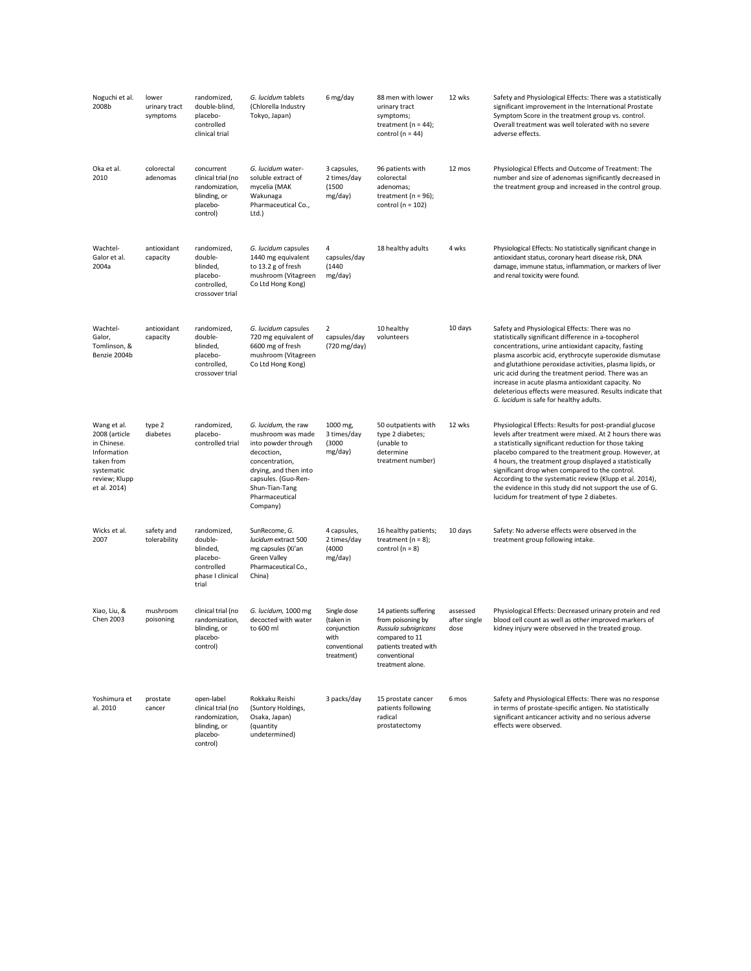| Noguchi et al.<br>2008b                                                                                                 | lower<br>urinary tract<br>symptoms | randomized,<br>double-blind,<br>placebo-<br>controlled<br>clinical trial                   | G. lucidum tablets<br>(Chlorella Industry<br>Tokyo, Japan)                                                                                                                                      | 6 mg/day                                                                      | 88 men with lower<br>urinary tract<br>symptoms;<br>treatment ( $n = 44$ );<br>control ( $n = 44$ )                                                | 12 wks                           | Safety and Physiological Effects: There was a statistically<br>significant improvement in the International Prostate<br>Symptom Score in the treatment group vs. control.<br>Overall treatment was well tolerated with no severe<br>adverse effects.                                                                                                                                                                                                                                                                  |
|-------------------------------------------------------------------------------------------------------------------------|------------------------------------|--------------------------------------------------------------------------------------------|-------------------------------------------------------------------------------------------------------------------------------------------------------------------------------------------------|-------------------------------------------------------------------------------|---------------------------------------------------------------------------------------------------------------------------------------------------|----------------------------------|-----------------------------------------------------------------------------------------------------------------------------------------------------------------------------------------------------------------------------------------------------------------------------------------------------------------------------------------------------------------------------------------------------------------------------------------------------------------------------------------------------------------------|
| Oka et al.<br>2010                                                                                                      | colorectal<br>adenomas             | concurrent<br>clinical trial (no<br>randomization,<br>blinding, or<br>placebo-<br>control) | G. lucidum water-<br>soluble extract of<br>mycelia (MAK<br>Wakunaga<br>Pharmaceutical Co.,<br>Ltd.)                                                                                             | 3 capsules,<br>2 times/day<br>(1500)<br>mg/day)                               | 96 patients with<br>colorectal<br>adenomas;<br>treatment ( $n = 96$ );<br>control ( $n = 102$ )                                                   | 12 mos                           | Physiological Effects and Outcome of Treatment: The<br>number and size of adenomas significantly decreased in<br>the treatment group and increased in the control group.                                                                                                                                                                                                                                                                                                                                              |
| Wachtel-<br>Galor et al.<br>2004a                                                                                       | antioxidant<br>capacity            | randomized,<br>double-<br>blinded,<br>placebo-<br>controlled,<br>crossover trial           | G. lucidum capsules<br>1440 mg equivalent<br>to 13.2 g of fresh<br>mushroom (Vitagreen<br>Co Ltd Hong Kong)                                                                                     | 4<br>capsules/day<br>(1440)<br>mg/day)                                        | 18 healthy adults                                                                                                                                 | 4 wks                            | Physiological Effects: No statistically significant change in<br>antioxidant status, coronary heart disease risk, DNA<br>damage, immune status, inflammation, or markers of liver<br>and renal toxicity were found.                                                                                                                                                                                                                                                                                                   |
| Wachtel-<br>Galor,<br>Tomlinson, &<br>Benzie 2004b                                                                      | antioxidant<br>capacity            | randomized,<br>double-<br>blinded,<br>placebo-<br>controlled,<br>crossover trial           | G. lucidum capsules<br>720 mg equivalent of<br>6600 mg of fresh<br>mushroom (Vitagreen<br>Co Ltd Hong Kong)                                                                                     | 2<br>capsules/day<br>(720 mg/day)                                             | 10 healthy<br>volunteers                                                                                                                          | 10 days                          | Safety and Physiological Effects: There was no<br>statistically significant difference in a-tocopherol<br>concentrations, urine antioxidant capacity, fasting<br>plasma ascorbic acid, erythrocyte superoxide dismutase<br>and glutathione peroxidase activities, plasma lipids, or<br>uric acid during the treatment period. There was an<br>increase in acute plasma antioxidant capacity. No<br>deleterious effects were measured. Results indicate that<br>G. lucidum is safe for healthy adults.                 |
| Wang et al.<br>2008 (article<br>in Chinese.<br>Information<br>taken from<br>systematic<br>review; Klupp<br>et al. 2014) | type 2<br>diabetes                 | randomized,<br>placebo-<br>controlled trial                                                | G. lucidum, the raw<br>mushroom was made<br>into powder through<br>decoction,<br>concentration,<br>drying, and then into<br>capsules. (Guo-Ren-<br>Shun-Tian-Tang<br>Pharmaceutical<br>Company) | 1000 mg,<br>3 times/day<br>(3000)<br>mg/day)                                  | 50 outpatients with<br>type 2 diabetes;<br>(unable to<br>determine<br>treatment number)                                                           | 12 wks                           | Physiological Effects: Results for post-prandial glucose<br>levels after treatment were mixed. At 2 hours there was<br>a statistically significant reduction for those taking<br>placebo compared to the treatment group. However, at<br>4 hours, the treatment group displayed a statistically<br>significant drop when compared to the control.<br>According to the systematic review (Klupp et al. 2014),<br>the evidence in this study did not support the use of G.<br>lucidum for treatment of type 2 diabetes. |
| Wicks et al.<br>2007                                                                                                    | safety and<br>tolerability         | randomized,<br>double-<br>blinded,<br>placebo-<br>controlled<br>phase I clinical<br>trial  | SunRecome, G.<br>lucidum extract 500<br>mg capsules (Xi'an<br><b>Green Valley</b><br>Pharmaceutical Co.,<br>China)                                                                              | 4 capsules,<br>2 times/day<br>(4000)<br>mg/day)                               | 16 healthy patients;<br>treatment $(n = 8)$ ;<br>control ( $n = 8$ )                                                                              | 10 days                          | Safety: No adverse effects were observed in the<br>treatment group following intake.                                                                                                                                                                                                                                                                                                                                                                                                                                  |
| Xiao, Liu, &<br>Chen 2003                                                                                               | mushroom<br>poisoning              | clinical trial (no<br>randomization,<br>blinding, or<br>placebo-<br>control)               | G. lucidum, 1000 mg<br>decocted with water<br>to 600 ml                                                                                                                                         | Single dose<br>(taken in<br>conjunction<br>with<br>conventional<br>treatment) | 14 patients suffering<br>from poisoning by<br>Russula subnigricans<br>compared to 11<br>patients treated with<br>conventional<br>treatment alone. | assessed<br>after single<br>dose | Physiological Effects: Decreased urinary protein and red<br>blood cell count as well as other improved markers of<br>kidney injury were observed in the treated group.                                                                                                                                                                                                                                                                                                                                                |
| Yoshimura et<br>al. 2010                                                                                                | prostate<br>cancer                 | open-label<br>clinical trial (no<br>randomization,<br>blinding, or<br>placebo-<br>control) | Rokkaku Reishi<br>(Suntory Holdings,<br>Osaka, Japan)<br>(quantity<br>undetermined)                                                                                                             | 3 packs/day                                                                   | 15 prostate cancer<br>patients following<br>radical<br>prostatectomy                                                                              | 6 mos                            | Safety and Physiological Effects: There was no response<br>in terms of prostate-specific antigen. No statistically<br>significant anticancer activity and no serious adverse<br>effects were observed.                                                                                                                                                                                                                                                                                                                |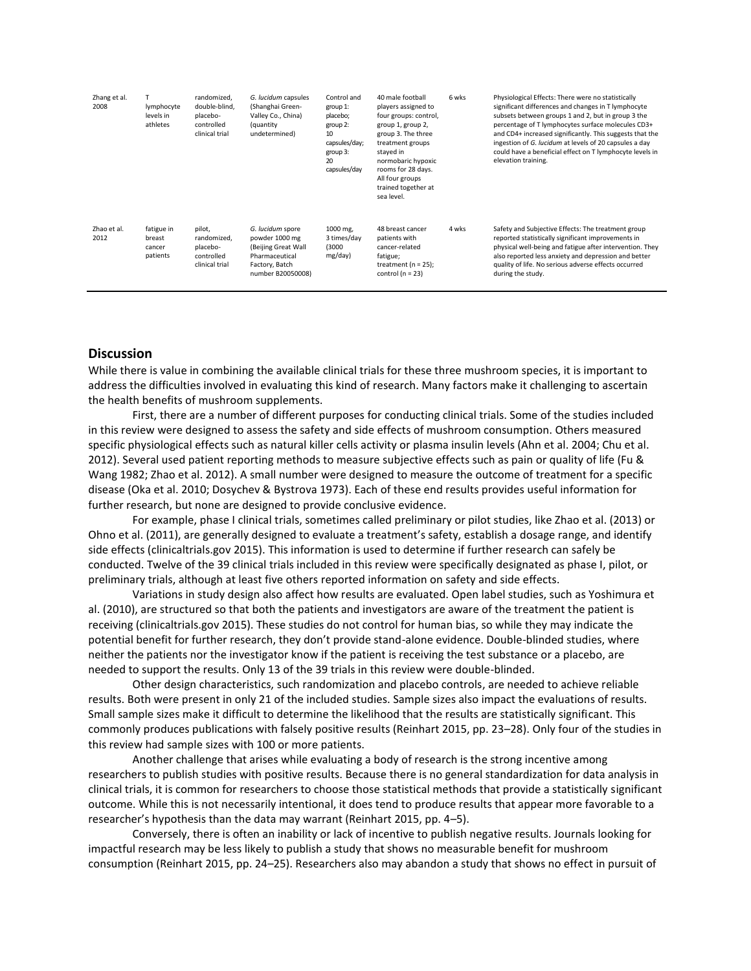| Zhang et al.<br>2008 | lymphocyte<br>levels in<br>athletes        | randomized.<br>double-blind.<br>placebo-<br>controlled<br>clinical trial | G. lucidum capsules<br>(Shanghai Green-<br>Valley Co., China)<br>(quantity<br>undetermined)                        | Control and<br>group 1:<br>placebo;<br>group 2:<br>10<br>capsules/day;<br>group 3:<br>20<br>capsules/day | 40 male football<br>players assigned to<br>four groups: control,<br>group 1, group 2,<br>group 3. The three<br>treatment groups<br>stayed in<br>normobaric hypoxic<br>rooms for 28 days.<br>All four groups<br>trained together at<br>sea level. | 6 wks | Physiological Effects: There were no statistically<br>significant differences and changes in T lymphocyte<br>subsets between groups 1 and 2, but in group 3 the<br>percentage of T lymphocytes surface molecules CD3+<br>and CD4+ increased significantly. This suggests that the<br>ingestion of G. lucidum at levels of 20 capsules a day<br>could have a beneficial effect on T lymphocyte levels in<br>elevation training. |
|----------------------|--------------------------------------------|--------------------------------------------------------------------------|--------------------------------------------------------------------------------------------------------------------|----------------------------------------------------------------------------------------------------------|--------------------------------------------------------------------------------------------------------------------------------------------------------------------------------------------------------------------------------------------------|-------|--------------------------------------------------------------------------------------------------------------------------------------------------------------------------------------------------------------------------------------------------------------------------------------------------------------------------------------------------------------------------------------------------------------------------------|
| Zhao et al.<br>2012  | fatigue in<br>breast<br>cancer<br>patients | pilot,<br>randomized.<br>placebo-<br>controlled<br>clinical trial        | G. lucidum spore<br>powder 1000 mg<br>(Beijing Great Wall<br>Pharmaceutical<br>Factory, Batch<br>number B20050008) | 1000 mg,<br>3 times/day<br>(3000)<br>mg/day)                                                             | 48 breast cancer<br>patients with<br>cancer-related<br>fatigue;<br>treatment ( $n = 25$ );<br>control ( $n = 23$ )                                                                                                                               | 4 wks | Safety and Subjective Effects: The treatment group<br>reported statistically significant improvements in<br>physical well-being and fatigue after intervention. They<br>also reported less anxiety and depression and better<br>quality of life. No serious adverse effects occurred<br>during the study.                                                                                                                      |

### **Discussion**

While there is value in combining the available clinical trials for these three mushroom species, it is important to address the difficulties involved in evaluating this kind of research. Many factors make it challenging to ascertain the health benefits of mushroom supplements.

First, there are a number of different purposes for conducting clinical trials. Some of the studies included in this review were designed to assess the safety and side effects of mushroom consumption. Others measured specific physiological effects such as natural killer cells activity or plasma insulin levels (Ahn et al. 2004; Chu et al. 2012). Several used patient reporting methods to measure subjective effects such as pain or quality of life (Fu & Wang 1982; Zhao et al. 2012). A small number were designed to measure the outcome of treatment for a specific disease (Oka et al. 2010; Dosychev & Bystrova 1973). Each of these end results provides useful information for further research, but none are designed to provide conclusive evidence.

For example, phase I clinical trials, sometimes called preliminary or pilot studies, like Zhao et al. (2013) or Ohno et al. (2011), are generally designed to evaluate a treatment's safety, establish a dosage range, and identify side effects (clinicaltrials.gov 2015). This information is used to determine if further research can safely be conducted. Twelve of the 39 clinical trials included in this review were specifically designated as phase I, pilot, or preliminary trials, although at least five others reported information on safety and side effects.

Variations in study design also affect how results are evaluated. Open label studies, such as Yoshimura et al. (2010), are structured so that both the patients and investigators are aware of the treatment the patient is receiving (clinicaltrials.gov 2015). These studies do not control for human bias, so while they may indicate the potential benefit for further research, they don't provide stand-alone evidence. Double-blinded studies, where neither the patients nor the investigator know if the patient is receiving the test substance or a placebo, are needed to support the results. Only 13 of the 39 trials in this review were double-blinded.

Other design characteristics, such randomization and placebo controls, are needed to achieve reliable results. Both were present in only 21 of the included studies. Sample sizes also impact the evaluations of results. Small sample sizes make it difficult to determine the likelihood that the results are statistically significant. This commonly produces publications with falsely positive results (Reinhart 2015, pp. 23–28). Only four of the studies in this review had sample sizes with 100 or more patients.

Another challenge that arises while evaluating a body of research is the strong incentive among researchers to publish studies with positive results. Because there is no general standardization for data analysis in clinical trials, it is common for researchers to choose those statistical methods that provide a statistically significant outcome. While this is not necessarily intentional, it does tend to produce results that appear more favorable to a researcher's hypothesis than the data may warrant (Reinhart 2015, pp. 4–5).

Conversely, there is often an inability or lack of incentive to publish negative results. Journals looking for impactful research may be less likely to publish a study that shows no measurable benefit for mushroom consumption (Reinhart 2015, pp. 24–25). Researchers also may abandon a study that shows no effect in pursuit of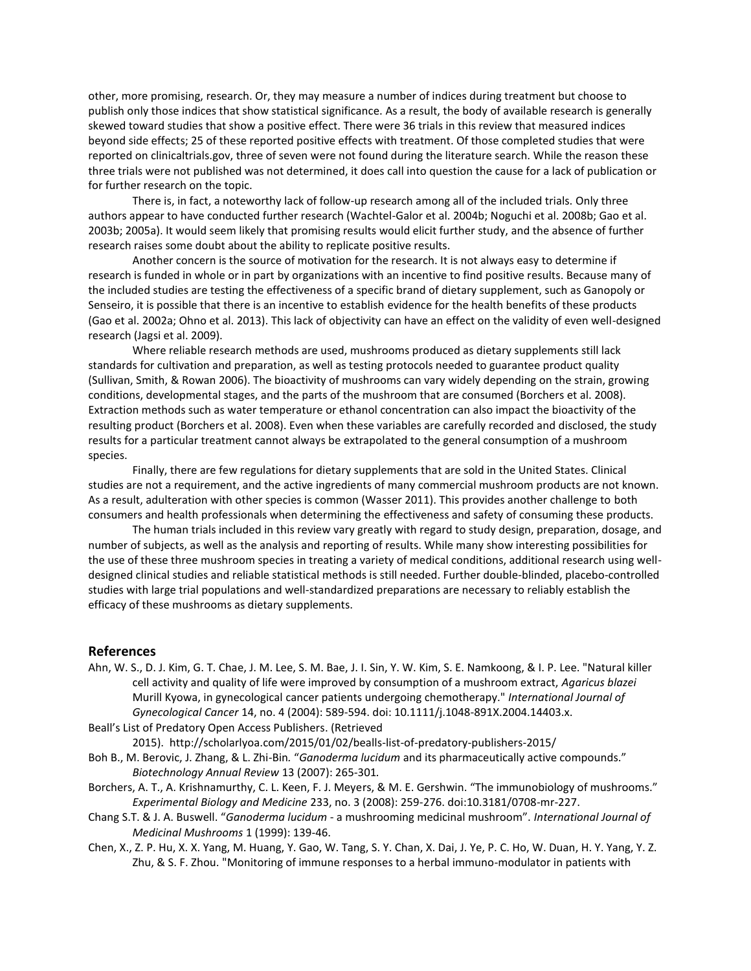other, more promising, research. Or, they may measure a number of indices during treatment but choose to publish only those indices that show statistical significance. As a result, the body of available research is generally skewed toward studies that show a positive effect. There were 36 trials in this review that measured indices beyond side effects; 25 of these reported positive effects with treatment. Of those completed studies that were reported on clinicaltrials.gov, three of seven were not found during the literature search. While the reason these three trials were not published was not determined, it does call into question the cause for a lack of publication or for further research on the topic.

There is, in fact, a noteworthy lack of follow-up research among all of the included trials. Only three authors appear to have conducted further research (Wachtel-Galor et al. 2004b; Noguchi et al. 2008b; Gao et al. 2003b; 2005a). It would seem likely that promising results would elicit further study, and the absence of further research raises some doubt about the ability to replicate positive results.

Another concern is the source of motivation for the research. It is not always easy to determine if research is funded in whole or in part by organizations with an incentive to find positive results. Because many of the included studies are testing the effectiveness of a specific brand of dietary supplement, such as Ganopoly or Senseiro, it is possible that there is an incentive to establish evidence for the health benefits of these products (Gao et al. 2002a; Ohno et al. 2013). This lack of objectivity can have an effect on the validity of even well-designed research (Jagsi et al. 2009).

Where reliable research methods are used, mushrooms produced as dietary supplements still lack standards for cultivation and preparation, as well as testing protocols needed to guarantee product quality (Sullivan, Smith, & Rowan 2006). The bioactivity of mushrooms can vary widely depending on the strain, growing conditions, developmental stages, and the parts of the mushroom that are consumed (Borchers et al. 2008). Extraction methods such as water temperature or ethanol concentration can also impact the bioactivity of the resulting product (Borchers et al. 2008). Even when these variables are carefully recorded and disclosed, the study results for a particular treatment cannot always be extrapolated to the general consumption of a mushroom species.

Finally, there are few regulations for dietary supplements that are sold in the United States. Clinical studies are not a requirement, and the active ingredients of many commercial mushroom products are not known. As a result, adulteration with other species is common (Wasser 2011). This provides another challenge to both consumers and health professionals when determining the effectiveness and safety of consuming these products.

The human trials included in this review vary greatly with regard to study design, preparation, dosage, and number of subjects, as well as the analysis and reporting of results. While many show interesting possibilities for the use of these three mushroom species in treating a variety of medical conditions, additional research using welldesigned clinical studies and reliable statistical methods is still needed. Further double-blinded, placebo-controlled studies with large trial populations and well-standardized preparations are necessary to reliably establish the efficacy of these mushrooms as dietary supplements.

### **References**

- Ahn, W. S., D. J. Kim, G. T. Chae, J. M. Lee, S. M. Bae, J. I. Sin, Y. W. Kim, S. E. Namkoong, & I. P. Lee. "Natural killer cell activity and quality of life were improved by consumption of a mushroom extract, *Agaricus blazei* Murill Kyowa, in gynecological cancer patients undergoing chemotherapy." *International Journal of Gynecological Cancer* 14, no. 4 (2004): 589-594. doi: 10.1111/j.1048-891X.2004.14403.x.
- Beall's List of Predatory Open Access Publishers. (Retrieved

2015). http://scholarlyoa.com/2015/01/02/bealls-list-of-predatory-publishers-2015/

- Boh B., M. Berovic, J. Zhang, & L. Zhi-Bin*.* "*Ganoderma lucidum* and its pharmaceutically active compounds." *Biotechnology Annual Review* 13 (2007): 265*-*301*.*
- Borchers, A. T., A. Krishnamurthy, C. L. Keen, F. J. Meyers, & M. E. Gershwin. "The immunobiology of mushrooms." *Experimental Biology and Medicine* 233, no. 3 (2008): 259-276. doi:10.3181/0708-mr-227.
- Chang S.T. & J. A. Buswell. "*Ganoderma lucidum*  a mushrooming medicinal mushroom". *International Journal of Medicinal Mushrooms* 1 (1999): 139-46.
- Chen, X., Z. P. Hu, X. X. Yang, M. Huang, Y. Gao, W. Tang, S. Y. Chan, X. Dai, J. Ye, P. C. Ho, W. Duan, H. Y. Yang, Y. Z. Zhu, & S. F. Zhou. "Monitoring of immune responses to a herbal immuno-modulator in patients with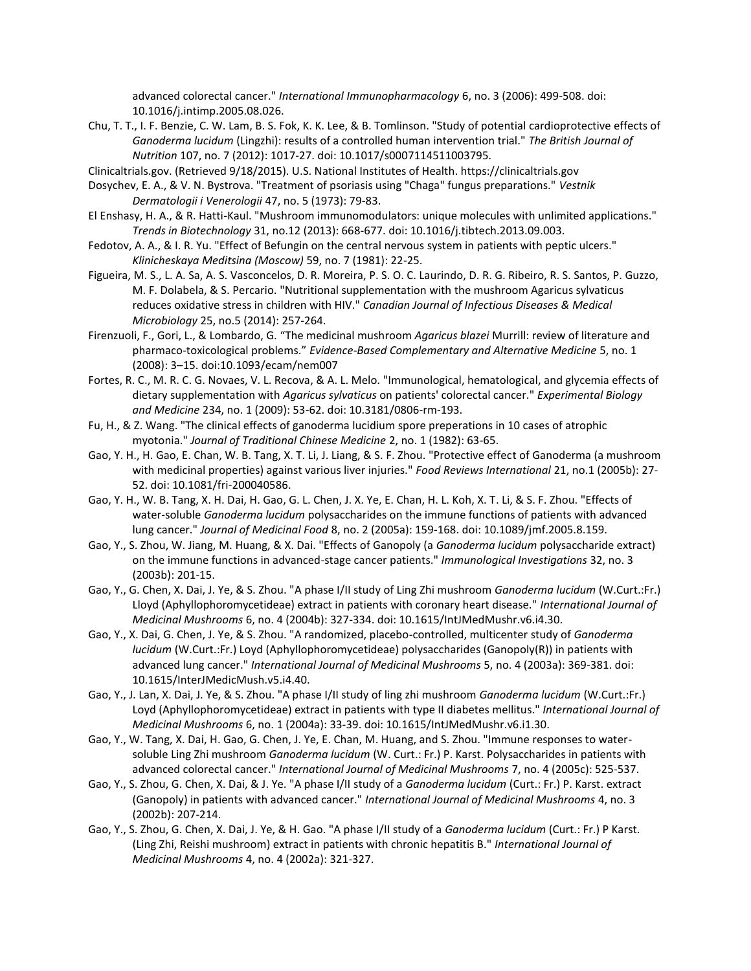advanced colorectal cancer." *International Immunopharmacology* 6, no. 3 (2006): 499-508. doi: 10.1016/j.intimp.2005.08.026.

- Chu, T. T., I. F. Benzie, C. W. Lam, B. S. Fok, K. K. Lee, & B. Tomlinson. "Study of potential cardioprotective effects of *Ganoderma lucidum* (Lingzhi): results of a controlled human intervention trial." *The British Journal of Nutrition* 107, no. 7 (2012): 1017-27. doi: 10.1017/s0007114511003795.
- Clinicaltrials.gov. (Retrieved 9/18/2015). U.S. National Institutes of Health. https://clinicaltrials.gov
- Dosychev, E. A., & V. N. Bystrova. "Treatment of psoriasis using "Chaga" fungus preparations." *Vestnik Dermatologii i Venerologii* 47, no. 5 (1973): 79-83.
- El Enshasy, H. A., & R. Hatti-Kaul. "Mushroom immunomodulators: unique molecules with unlimited applications." *Trends in Biotechnology* 31, no.12 (2013): 668-677. doi: 10.1016/j.tibtech.2013.09.003.
- Fedotov, A. A., & I. R. Yu. "Effect of Befungin on the central nervous system in patients with peptic ulcers." *Klinicheskaya Meditsina (Moscow)* 59, no. 7 (1981): 22-25.
- Figueira, M. S., L. A. Sa, A. S. Vasconcelos, D. R. Moreira, P. S. O. C. Laurindo, D. R. G. Ribeiro, R. S. Santos, P. Guzzo, M. F. Dolabela, & S. Percario. "Nutritional supplementation with the mushroom Agaricus sylvaticus reduces oxidative stress in children with HIV." *Canadian Journal of Infectious Diseases & Medical Microbiology* 25, no.5 (2014): 257-264.
- Firenzuoli, F., Gori, L., & Lombardo, G. "The medicinal mushroom *Agaricus blazei* Murrill: review of literature and pharmaco-toxicological problems." *Evidence-Based Complementary and Alternative Medicine* 5, no. 1 (2008): 3–15. doi:10.1093/ecam/nem007
- Fortes, R. C., M. R. C. G. Novaes, V. L. Recova, & A. L. Melo. "Immunological, hematological, and glycemia effects of dietary supplementation with *Agaricus sylvaticus* on patients' colorectal cancer." *Experimental Biology and Medicine* 234, no. 1 (2009): 53-62. doi: 10.3181/0806-rm-193.
- Fu, H., & Z. Wang. "The clinical effects of ganoderma lucidium spore preperations in 10 cases of atrophic myotonia." *Journal of Traditional Chinese Medicine* 2, no. 1 (1982): 63-65.
- Gao, Y. H., H. Gao, E. Chan, W. B. Tang, X. T. Li, J. Liang, & S. F. Zhou. "Protective effect of Ganoderma (a mushroom with medicinal properties) against various liver injuries." *Food Reviews International* 21, no.1 (2005b): 27- 52. doi: 10.1081/fri-200040586.
- Gao, Y. H., W. B. Tang, X. H. Dai, H. Gao, G. L. Chen, J. X. Ye, E. Chan, H. L. Koh, X. T. Li, & S. F. Zhou. "Effects of water-soluble *Ganoderma lucidum* polysaccharides on the immune functions of patients with advanced lung cancer." *Journal of Medicinal Food* 8, no. 2 (2005a): 159-168. doi: 10.1089/jmf.2005.8.159.
- Gao, Y., S. Zhou, W. Jiang, M. Huang, & X. Dai. "Effects of Ganopoly (a *Ganoderma lucidum* polysaccharide extract) on the immune functions in advanced-stage cancer patients." *Immunological Investigations* 32, no. 3 (2003b): 201-15.
- Gao, Y., G. Chen, X. Dai, J. Ye, & S. Zhou. "A phase I/II study of Ling Zhi mushroom *Ganoderma lucidum* (W.Curt.:Fr.) Lloyd (Aphyllophoromycetideae) extract in patients with coronary heart disease." *International Journal of Medicinal Mushrooms* 6, no. 4 (2004b): 327-334. doi: 10.1615/IntJMedMushr.v6.i4.30.
- Gao, Y., X. Dai, G. Chen, J. Ye, & S. Zhou. "A randomized, placebo-controlled, multicenter study of *Ganoderma lucidum* (W.Curt.:Fr.) Loyd (Aphyllophoromycetideae) polysaccharides (Ganopoly(R)) in patients with advanced lung cancer." *International Journal of Medicinal Mushrooms* 5, no. 4 (2003a): 369-381. doi: 10.1615/InterJMedicMush.v5.i4.40.
- Gao, Y., J. Lan, X. Dai, J. Ye, & S. Zhou. "A phase I/II study of ling zhi mushroom *Ganoderma lucidum* (W.Curt.:Fr.) Loyd (Aphyllophoromycetideae) extract in patients with type II diabetes mellitus." *International Journal of Medicinal Mushrooms* 6, no. 1 (2004a): 33-39. doi: 10.1615/IntJMedMushr.v6.i1.30.
- Gao, Y., W. Tang, X. Dai, H. Gao, G. Chen, J. Ye, E. Chan, M. Huang, and S. Zhou. "Immune responses to watersoluble Ling Zhi mushroom *Ganoderma lucidum* (W. Curt.: Fr.) P. Karst. Polysaccharides in patients with advanced colorectal cancer." *International Journal of Medicinal Mushrooms* 7, no. 4 (2005c): 525-537.
- Gao, Y., S. Zhou, G. Chen, X. Dai, & J. Ye. "A phase I/II study of a *Ganoderma lucidum* (Curt.: Fr.) P. Karst. extract (Ganopoly) in patients with advanced cancer." *International Journal of Medicinal Mushrooms* 4, no. 3 (2002b): 207-214.
- Gao, Y., S. Zhou, G. Chen, X. Dai, J. Ye, & H. Gao. "A phase I/II study of a *Ganoderma lucidum* (Curt.: Fr.) P Karst. (Ling Zhi, Reishi mushroom) extract in patients with chronic hepatitis B." *International Journal of Medicinal Mushrooms* 4, no. 4 (2002a): 321-327.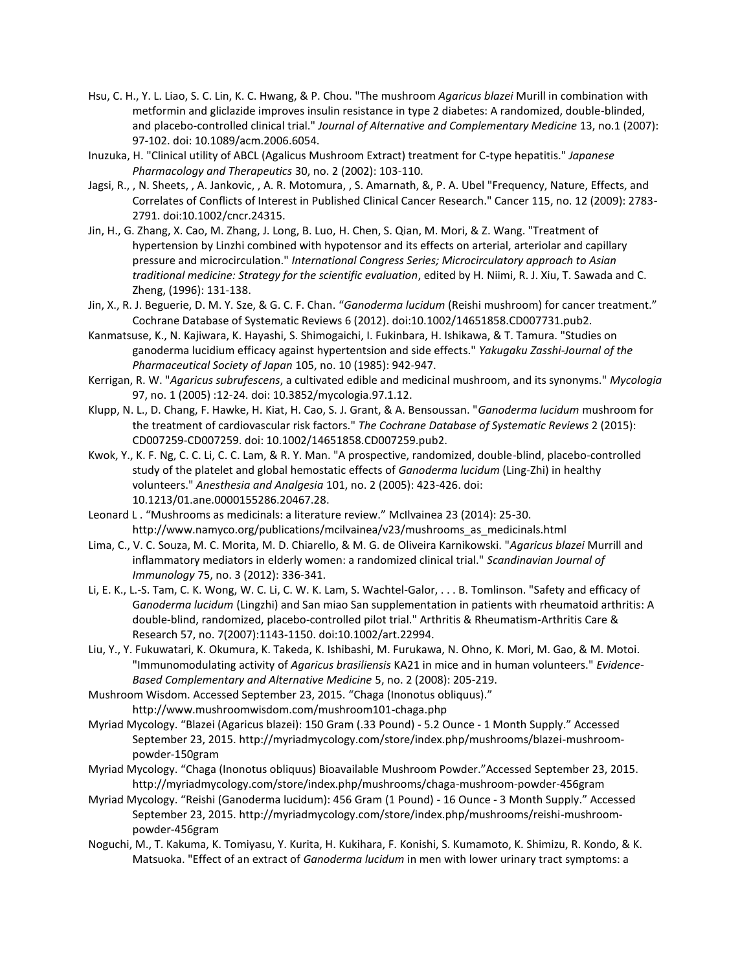- Hsu, C. H., Y. L. Liao, S. C. Lin, K. C. Hwang, & P. Chou. "The mushroom *Agaricus blazei* Murill in combination with metformin and gliclazide improves insulin resistance in type 2 diabetes: A randomized, double-blinded, and placebo-controlled clinical trial." *Journal of Alternative and Complementary Medicine* 13, no.1 (2007): 97-102. doi: 10.1089/acm.2006.6054.
- Inuzuka, H. "Clinical utility of ABCL (Agalicus Mushroom Extract) treatment for C-type hepatitis." *Japanese Pharmacology and Therapeutics* 30, no. 2 (2002): 103-110.
- Jagsi, R., , N. Sheets, , A. Jankovic, , A. R. Motomura, , S. Amarnath, &, P. A. Ubel "Frequency, Nature, Effects, and Correlates of Conflicts of Interest in Published Clinical Cancer Research." Cancer 115, no. 12 (2009): 2783- 2791. doi:10.1002/cncr.24315.
- Jin, H., G. Zhang, X. Cao, M. Zhang, J. Long, B. Luo, H. Chen, S. Qian, M. Mori, & Z. Wang. "Treatment of hypertension by Linzhi combined with hypotensor and its effects on arterial, arteriolar and capillary pressure and microcirculation." *International Congress Series; Microcirculatory approach to Asian traditional medicine: Strategy for the scientific evaluation*, edited by H. Niimi, R. J. Xiu, T. Sawada and C. Zheng, (1996): 131-138.
- Jin, X., R. J. Beguerie, D. M. Y. Sze, & G. C. F. Chan. "*Ganoderma lucidum* (Reishi mushroom) for cancer treatment." Cochrane Database of Systematic Reviews 6 (2012). doi:10.1002/14651858.CD007731.pub2.
- Kanmatsuse, K., N. Kajiwara, K. Hayashi, S. Shimogaichi, I. Fukinbara, H. Ishikawa, & T. Tamura. "Studies on ganoderma lucidium efficacy against hypertentsion and side effects." *Yakugaku Zasshi-Journal of the Pharmaceutical Society of Japan* 105, no. 10 (1985): 942-947.
- Kerrigan, R. W. "*Agaricus subrufescens*, a cultivated edible and medicinal mushroom, and its synonyms." *Mycologia* 97, no. 1 (2005) :12-24. doi: 10.3852/mycologia.97.1.12.
- Klupp, N. L., D. Chang, F. Hawke, H. Kiat, H. Cao, S. J. Grant, & A. Bensoussan. "*Ganoderma lucidum* mushroom for the treatment of cardiovascular risk factors." *The Cochrane Database of Systematic Reviews* 2 (2015): CD007259-CD007259. doi: 10.1002/14651858.CD007259.pub2.
- Kwok, Y., K. F. Ng, C. C. Li, C. C. Lam, & R. Y. Man. "A prospective, randomized, double-blind, placebo-controlled study of the platelet and global hemostatic effects of *Ganoderma lucidum* (Ling-Zhi) in healthy volunteers." *Anesthesia and Analgesia* 101, no. 2 (2005): 423-426. doi: 10.1213/01.ane.0000155286.20467.28.
- Leonard L . "Mushrooms as medicinals: a literature review." McIlvainea 23 (2014): 25-30. http://www.namyco.org/publications/mcilvainea/v23/mushrooms\_as\_medicinals.html
- Lima, C., V. C. Souza, M. C. Morita, M. D. Chiarello, & M. G. de Oliveira Karnikowski. "*Agaricus blazei* Murrill and inflammatory mediators in elderly women: a randomized clinical trial." *Scandinavian Journal of Immunology* 75, no. 3 (2012): 336-341.
- Li, E. K., L.-S. Tam, C. K. Wong, W. C. Li, C. W. K. Lam, S. Wachtel-Galor, . . . B. Tomlinson. "Safety and efficacy of G*anoderma lucidum* (Lingzhi) and San miao San supplementation in patients with rheumatoid arthritis: A double-blind, randomized, placebo-controlled pilot trial." Arthritis & Rheumatism-Arthritis Care & Research 57, no. 7(2007):1143-1150. doi:10.1002/art.22994.
- Liu, Y., Y. Fukuwatari, K. Okumura, K. Takeda, K. Ishibashi, M. Furukawa, N. Ohno, K. Mori, M. Gao, & M. Motoi. "Immunomodulating activity of *Agaricus brasiliensis* KA21 in mice and in human volunteers." *Evidence-Based Complementary and Alternative Medicine* 5, no. 2 (2008): 205-219.
- Mushroom Wisdom. Accessed September 23, 2015. "Chaga (Inonotus obliquus)." http://www.mushroomwisdom.com/mushroom101-chaga.php
- Myriad Mycology. "Blazei (Agaricus blazei): 150 Gram (.33 Pound) 5.2 Ounce 1 Month Supply." Accessed September 23, 2015. [http://myriadmycology.com/store/index.php/mushrooms/blazei-mushroom](http://myriadmycology.com/store/index.php/mushrooms/blazei-mushroom-powder-150gram)[powder-150gram](http://myriadmycology.com/store/index.php/mushrooms/blazei-mushroom-powder-150gram)
- Myriad Mycology. "Chaga (Inonotus obliquus) Bioavailable Mushroom Powder."Accessed September 23, 2015. <http://myriadmycology.com/store/index.php/mushrooms/chaga-mushroom-powder-456gram>
- Myriad Mycology. "Reishi (Ganoderma lucidum): 456 Gram (1 Pound) 16 Ounce 3 Month Supply." Accessed September 23, 2015. [http://myriadmycology.com/store/index.php/mushrooms/reishi-mushroom](http://myriadmycology.com/store/index.php/mushrooms/reishi-mushroom-powder-456gram)[powder-456gram](http://myriadmycology.com/store/index.php/mushrooms/reishi-mushroom-powder-456gram)
- Noguchi, M., T. Kakuma, K. Tomiyasu, Y. Kurita, H. Kukihara, F. Konishi, S. Kumamoto, K. Shimizu, R. Kondo, & K. Matsuoka. "Effect of an extract of *Ganoderma lucidum* in men with lower urinary tract symptoms: a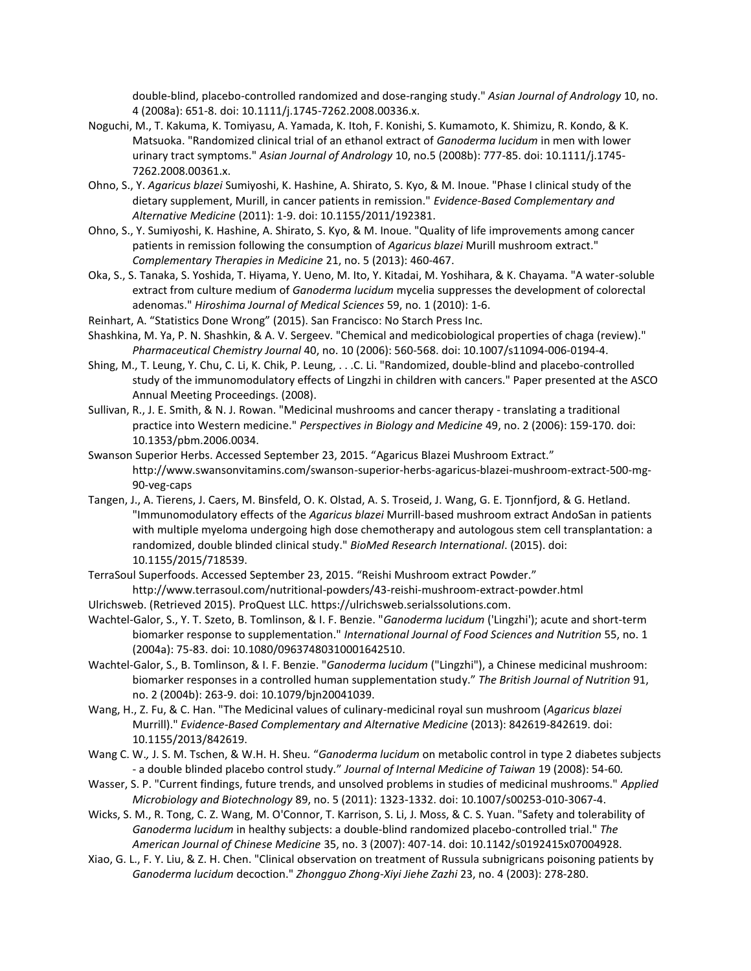double-blind, placebo-controlled randomized and dose-ranging study." *Asian Journal of Andrology* 10, no. 4 (2008a): 651-8. doi: 10.1111/j.1745-7262.2008.00336.x.

- Noguchi, M., T. Kakuma, K. Tomiyasu, A. Yamada, K. Itoh, F. Konishi, S. Kumamoto, K. Shimizu, R. Kondo, & K. Matsuoka. "Randomized clinical trial of an ethanol extract of *Ganoderma lucidum* in men with lower urinary tract symptoms." *Asian Journal of Andrology* 10, no.5 (2008b): 777-85. doi: 10.1111/j.1745- 7262.2008.00361.x.
- Ohno, S., Y. *Agaricus blazei* Sumiyoshi, K. Hashine, A. Shirato, S. Kyo, & M. Inoue. "Phase I clinical study of the dietary supplement, Murill, in cancer patients in remission." *Evidence-Based Complementary and Alternative Medicine* (2011): 1-9. doi: 10.1155/2011/192381.
- Ohno, S., Y. Sumiyoshi, K. Hashine, A. Shirato, S. Kyo, & M. Inoue. "Quality of life improvements among cancer patients in remission following the consumption of *Agaricus blazei* Murill mushroom extract." *Complementary Therapies in Medicine* 21, no. 5 (2013): 460-467.
- Oka, S., S. Tanaka, S. Yoshida, T. Hiyama, Y. Ueno, M. Ito, Y. Kitadai, M. Yoshihara, & K. Chayama. "A water-soluble extract from culture medium of *Ganoderma lucidum* mycelia suppresses the development of colorectal adenomas." *Hiroshima Journal of Medical Sciences* 59, no. 1 (2010): 1-6.
- Reinhart, A. "Statistics Done Wrong" (2015). San Francisco: No Starch Press Inc.
- Shashkina, M. Ya, P. N. Shashkin, & A. V. Sergeev. "Chemical and medicobiological properties of chaga (review)." *Pharmaceutical Chemistry Journal* 40, no. 10 (2006): 560-568. doi: 10.1007/s11094-006-0194-4.
- Shing, M., T. Leung, Y. Chu, C. Li, K. Chik, P. Leung, . . .C. Li. "Randomized, double-blind and placebo-controlled study of the immunomodulatory effects of Lingzhi in children with cancers." Paper presented at the ASCO Annual Meeting Proceedings. (2008).
- Sullivan, R., J. E. Smith, & N. J. Rowan. "Medicinal mushrooms and cancer therapy translating a traditional practice into Western medicine." *Perspectives in Biology and Medicine* 49, no. 2 (2006): 159-170. doi: 10.1353/pbm.2006.0034.
- Swanson Superior Herbs. Accessed September 23, 2015. "Agaricus Blazei Mushroom Extract." http://www.swansonvitamins.com/swanson-superior-herbs-agaricus-blazei-mushroom-extract-500-mg-90-veg-caps
- Tangen, J., A. Tierens, J. Caers, M. Binsfeld, O. K. Olstad, A. S. Troseid, J. Wang, G. E. Tjonnfjord, & G. Hetland. "Immunomodulatory effects of the *Agaricus blazei* Murrill-based mushroom extract AndoSan in patients with multiple myeloma undergoing high dose chemotherapy and autologous stem cell transplantation: a randomized, double blinded clinical study." *BioMed Research International*. (2015). doi: 10.1155/2015/718539.
- TerraSoul Superfoods. Accessed September 23, 2015. "Reishi Mushroom extract Powder." <http://www.terrasoul.com/nutritional-powders/43-reishi-mushroom-extract-powder.html>
- Ulrichsweb. (Retrieved 2015). ProQuest LLC[. https://ulrichsweb.serialssolutions.com.](https://ulrichsweb.serialssolutions.com/)
- Wachtel-Galor, S., Y. T. Szeto, B. Tomlinson, & I. F. Benzie. "*Ganoderma lucidum* ('Lingzhi'); acute and short-term biomarker response to supplementation." *International Journal of Food Sciences and Nutrition* 55, no. 1 (2004a): 75-83. doi: 10.1080/09637480310001642510.
- Wachtel-Galor, S., B. Tomlinson, & I. F. Benzie. "*Ganoderma lucidum* ("Lingzhi"), a Chinese medicinal mushroom: biomarker responses in a controlled human supplementation study." *The British Journal of Nutrition* 91, no. 2 (2004b): 263-9. doi: 10.1079/bjn20041039.
- Wang, H., Z. Fu, & C. Han. "The Medicinal values of culinary-medicinal royal sun mushroom (*Agaricus blazei* Murrill)." *Evidence-Based Complementary and Alternative Medicine* (2013): 842619-842619. doi: 10.1155/2013/842619.
- Wang C. W.*,* J. S. M. Tschen, & W.H. H. Sheu*.* "*Ganoderma lucidum* on metabolic control in type 2 diabetes subjects - a double blinded placebo control study*.*" *Journal of Internal Medicine of Taiwan* 19 (2008): 54*-*60*.*
- Wasser, S. P. "Current findings, future trends, and unsolved problems in studies of medicinal mushrooms." *Applied Microbiology and Biotechnology* 89, no. 5 (2011): 1323-1332. doi: 10.1007/s00253-010-3067-4.
- Wicks, S. M., R. Tong, C. Z. Wang, M. O'Connor, T. Karrison, S. Li, J. Moss, & C. S. Yuan. "Safety and tolerability of *Ganoderma lucidum* in healthy subjects: a double-blind randomized placebo-controlled trial." *The American Journal of Chinese Medicine* 35, no. 3 (2007): 407-14. doi: 10.1142/s0192415x07004928.
- Xiao, G. L., F. Y. Liu, & Z. H. Chen. "Clinical observation on treatment of Russula subnigricans poisoning patients by *Ganoderma lucidum* decoction." *Zhongguo Zhong-Xiyi Jiehe Zazhi* 23, no. 4 (2003): 278-280.